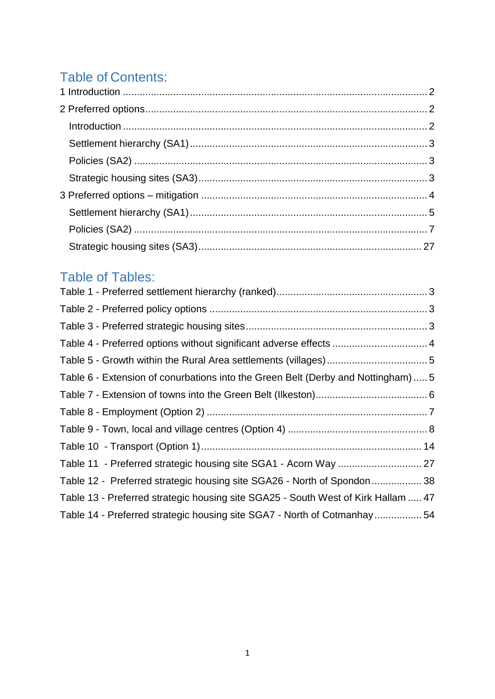# Table of Contents:

# Table of Tables:

| Table 4 - Preferred options without significant adverse effects  4                |  |
|-----------------------------------------------------------------------------------|--|
|                                                                                   |  |
| Table 6 - Extension of conurbations into the Green Belt (Derby and Nottingham)  5 |  |
|                                                                                   |  |
|                                                                                   |  |
|                                                                                   |  |
|                                                                                   |  |
|                                                                                   |  |
| Table 12 - Preferred strategic housing site SGA26 - North of Spondon 38           |  |
| Table 13 - Preferred strategic housing site SGA25 - South West of Kirk Hallam  47 |  |
| Table 14 - Preferred strategic housing site SGA7 - North of Cotmanhay54           |  |
|                                                                                   |  |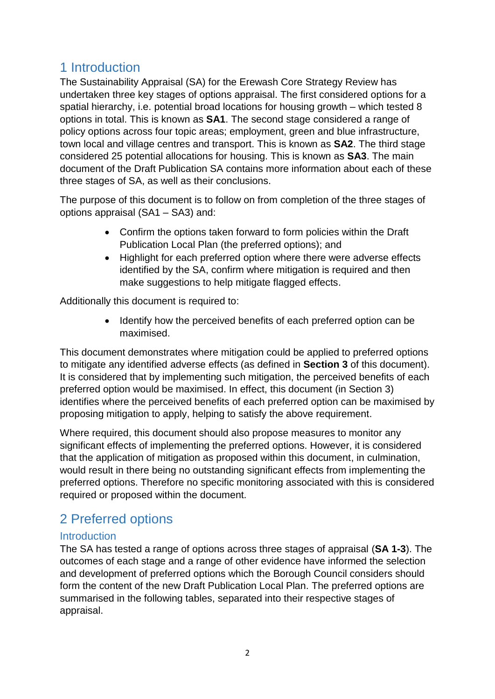### <span id="page-1-0"></span>1 Introduction

The Sustainability Appraisal (SA) for the Erewash Core Strategy Review has undertaken three key stages of options appraisal. The first considered options for a spatial hierarchy, i.e. potential broad locations for housing growth – which tested 8 options in total. This is known as **SA1**. The second stage considered a range of policy options across four topic areas; employment, green and blue infrastructure, town local and village centres and transport. This is known as **SA2**. The third stage considered 25 potential allocations for housing. This is known as **SA3**. The main document of the Draft Publication SA contains more information about each of these three stages of SA, as well as their conclusions.

The purpose of this document is to follow on from completion of the three stages of options appraisal (SA1 – SA3) and:

- Confirm the options taken forward to form policies within the Draft Publication Local Plan (the preferred options); and
- Highlight for each preferred option where there were adverse effects identified by the SA, confirm where mitigation is required and then make suggestions to help mitigate flagged effects.

Additionally this document is required to:

• Identify how the perceived benefits of each preferred option can be maximised.

This document demonstrates where mitigation could be applied to preferred options to mitigate any identified adverse effects (as defined in **Section 3** of this document). It is considered that by implementing such mitigation, the perceived benefits of each preferred option would be maximised. In effect, this document (in Section 3) identifies where the perceived benefits of each preferred option can be maximised by proposing mitigation to apply, helping to satisfy the above requirement.

Where required, this document should also propose measures to monitor any significant effects of implementing the preferred options. However, it is considered that the application of mitigation as proposed within this document, in culmination, would result in there being no outstanding significant effects from implementing the preferred options. Therefore no specific monitoring associated with this is considered required or proposed within the document.

## <span id="page-1-1"></span>2 Preferred options

#### <span id="page-1-2"></span>**Introduction**

The SA has tested a range of options across three stages of appraisal (**SA 1-3**). The outcomes of each stage and a range of other evidence have informed the selection and development of preferred options which the Borough Council considers should form the content of the new Draft Publication Local Plan. The preferred options are summarised in the following tables, separated into their respective stages of appraisal.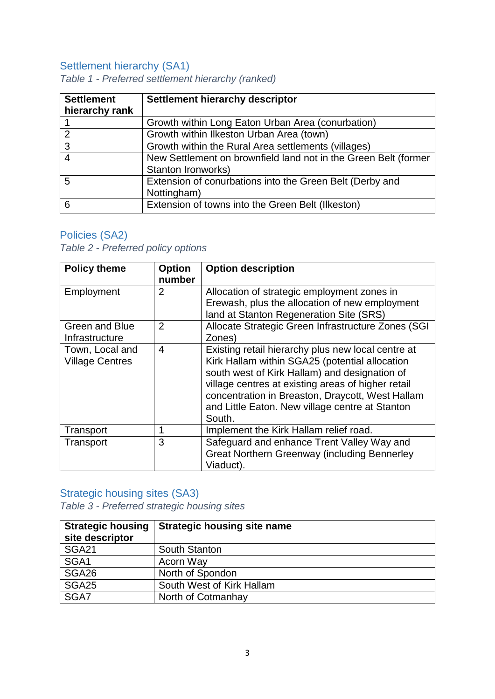### <span id="page-2-0"></span>Settlement hierarchy (SA1)

| <b>Settlement</b><br>hierarchy rank | <b>Settlement hierarchy descriptor</b>                                                |
|-------------------------------------|---------------------------------------------------------------------------------------|
|                                     | Growth within Long Eaton Urban Area (conurbation)                                     |
| 2                                   | Growth within Ilkeston Urban Area (town)                                              |
| 3                                   | Growth within the Rural Area settlements (villages)                                   |
| 4                                   | New Settlement on brownfield land not in the Green Belt (former<br>Stanton Ironworks) |
| 5                                   | Extension of conurbations into the Green Belt (Derby and<br>Nottingham)               |
| 6                                   | Extension of towns into the Green Belt (Ilkeston)                                     |

<span id="page-2-3"></span>*Table 1 - Preferred settlement hierarchy (ranked)*

### <span id="page-2-1"></span>Policies (SA2)

<span id="page-2-4"></span>*Table 2 - Preferred policy options*

| <b>Policy theme</b>                       | <b>Option</b><br>number | <b>Option description</b>                                                                                                                                                                                                                                                                                                    |
|-------------------------------------------|-------------------------|------------------------------------------------------------------------------------------------------------------------------------------------------------------------------------------------------------------------------------------------------------------------------------------------------------------------------|
| Employment                                | 2                       | Allocation of strategic employment zones in<br>Erewash, plus the allocation of new employment<br>land at Stanton Regeneration Site (SRS)                                                                                                                                                                                     |
| <b>Green and Blue</b><br>Infrastructure   | $\overline{2}$          | Allocate Strategic Green Infrastructure Zones (SGI<br>Zones)                                                                                                                                                                                                                                                                 |
| Town, Local and<br><b>Village Centres</b> | $\overline{4}$          | Existing retail hierarchy plus new local centre at<br>Kirk Hallam within SGA25 (potential allocation<br>south west of Kirk Hallam) and designation of<br>village centres at existing areas of higher retail<br>concentration in Breaston, Draycott, West Hallam<br>and Little Eaton. New village centre at Stanton<br>South. |
| Transport                                 | 1                       | Implement the Kirk Hallam relief road.                                                                                                                                                                                                                                                                                       |
| Transport                                 | 3                       | Safeguard and enhance Trent Valley Way and<br><b>Great Northern Greenway (including Bennerley</b><br>Viaduct).                                                                                                                                                                                                               |

### <span id="page-2-2"></span>Strategic housing sites (SA3)

<span id="page-2-5"></span>*Table 3 - Preferred strategic housing sites*

| <b>Strategic housing</b><br>site descriptor | <b>Strategic housing site name</b> |
|---------------------------------------------|------------------------------------|
| <b>SGA21</b>                                | <b>South Stanton</b>               |
| SGA1                                        | Acorn Way                          |
| SGA26                                       | North of Spondon                   |
| <b>SGA25</b>                                | South West of Kirk Hallam          |
| SGA7                                        | North of Cotmanhay                 |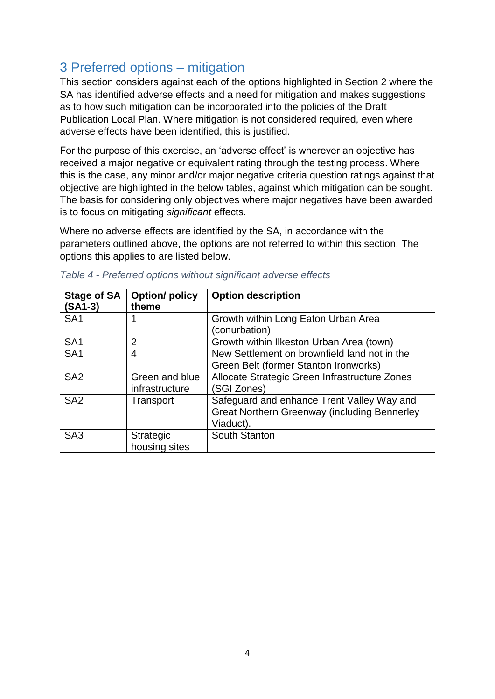## <span id="page-3-0"></span>3 Preferred options – mitigation

This section considers against each of the options highlighted in Section 2 where the SA has identified adverse effects and a need for mitigation and makes suggestions as to how such mitigation can be incorporated into the policies of the Draft Publication Local Plan. Where mitigation is not considered required, even where adverse effects have been identified, this is justified.

For the purpose of this exercise, an 'adverse effect' is wherever an objective has received a major negative or equivalent rating through the testing process. Where this is the case, any minor and/or major negative criteria question ratings against that objective are highlighted in the below tables, against which mitigation can be sought. The basis for considering only objectives where major negatives have been awarded is to focus on mitigating *significant* effects.

Where no adverse effects are identified by the SA, in accordance with the parameters outlined above, the options are not referred to within this section. The options this applies to are listed below.

| <b>Stage of SA</b><br>$(SA1-3)$ | <b>Option/policy</b><br>theme     | <b>Option description</b>                                                                                      |
|---------------------------------|-----------------------------------|----------------------------------------------------------------------------------------------------------------|
| SA <sub>1</sub>                 |                                   | Growth within Long Eaton Urban Area<br>(conurbation)                                                           |
| SA <sub>1</sub>                 | $\overline{2}$                    | Growth within Ilkeston Urban Area (town)                                                                       |
| SA <sub>1</sub>                 | 4                                 | New Settlement on brownfield land not in the<br>Green Belt (former Stanton Ironworks)                          |
| SA <sub>2</sub>                 | Green and blue<br>infrastructure  | Allocate Strategic Green Infrastructure Zones<br>(SGI Zones)                                                   |
| SA <sub>2</sub>                 | Transport                         | Safeguard and enhance Trent Valley Way and<br><b>Great Northern Greenway (including Bennerley</b><br>Viaduct). |
| SA <sub>3</sub>                 | <b>Strategic</b><br>housing sites | South Stanton                                                                                                  |

<span id="page-3-1"></span>

|  |  | Table 4 - Preferred options without significant adverse effects |  |
|--|--|-----------------------------------------------------------------|--|
|  |  |                                                                 |  |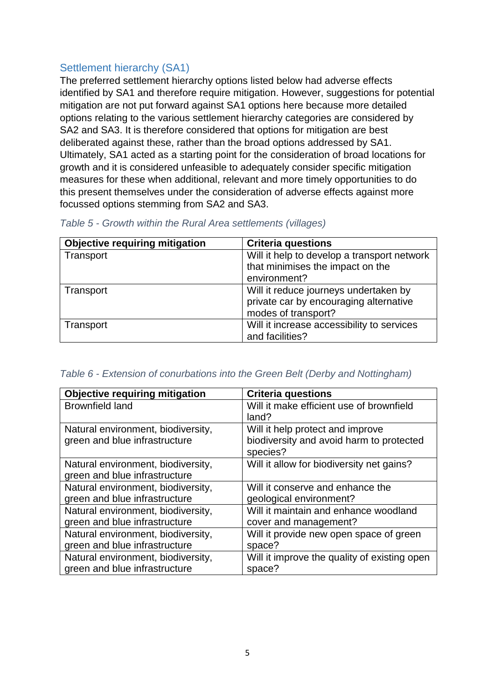#### <span id="page-4-0"></span>Settlement hierarchy (SA1)

The preferred settlement hierarchy options listed below had adverse effects identified by SA1 and therefore require mitigation. However, suggestions for potential mitigation are not put forward against SA1 options here because more detailed options relating to the various settlement hierarchy categories are considered by SA2 and SA3. It is therefore considered that options for mitigation are best deliberated against these, rather than the broad options addressed by SA1. Ultimately, SA1 acted as a starting point for the consideration of broad locations for growth and it is considered unfeasible to adequately consider specific mitigation measures for these when additional, relevant and more timely opportunities to do this present themselves under the consideration of adverse effects against more focussed options stemming from SA2 and SA3.

| <b>Objective requiring mitigation</b> | <b>Criteria questions</b>                   |
|---------------------------------------|---------------------------------------------|
| Transport                             | Will it help to develop a transport network |
|                                       | that minimises the impact on the            |
|                                       | environment?                                |
| Transport                             | Will it reduce journeys undertaken by       |
|                                       | private car by encouraging alternative      |
|                                       | modes of transport?                         |
| Transport                             | Will it increase accessibility to services  |
|                                       | and facilities?                             |

<span id="page-4-1"></span>

#### <span id="page-4-2"></span>*Table 6 - Extension of conurbations into the Green Belt (Derby and Nottingham)*

| <b>Objective requiring mitigation</b> | <b>Criteria questions</b>                            |
|---------------------------------------|------------------------------------------------------|
| <b>Brownfield land</b>                | Will it make efficient use of brownfield<br>land?    |
| Natural environment, biodiversity,    | Will it help protect and improve                     |
| green and blue infrastructure         | biodiversity and avoid harm to protected<br>species? |
| Natural environment, biodiversity,    | Will it allow for biodiversity net gains?            |
| green and blue infrastructure         |                                                      |
| Natural environment, biodiversity,    | Will it conserve and enhance the                     |
| green and blue infrastructure         | geological environment?                              |
| Natural environment, biodiversity,    | Will it maintain and enhance woodland                |
| green and blue infrastructure         | cover and management?                                |
| Natural environment, biodiversity,    | Will it provide new open space of green              |
| green and blue infrastructure         | space?                                               |
| Natural environment, biodiversity,    | Will it improve the quality of existing open         |
| green and blue infrastructure         | space?                                               |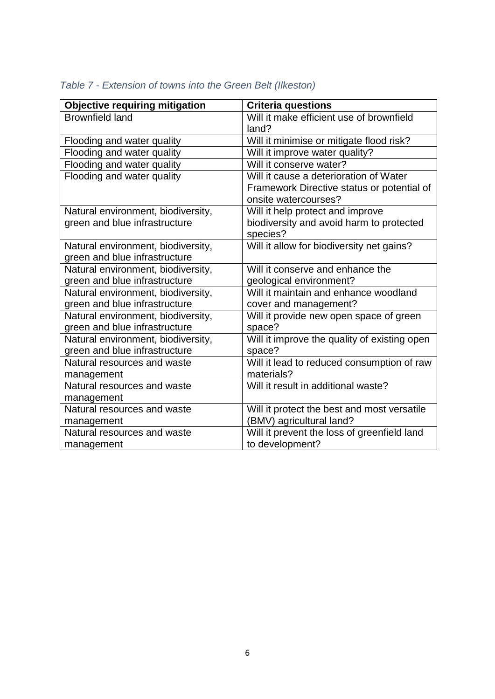| <b>Objective requiring mitigation</b> | <b>Criteria questions</b>                    |
|---------------------------------------|----------------------------------------------|
| <b>Brownfield land</b>                | Will it make efficient use of brownfield     |
|                                       | land?                                        |
| Flooding and water quality            | Will it minimise or mitigate flood risk?     |
| Flooding and water quality            | Will it improve water quality?               |
| Flooding and water quality            | Will it conserve water?                      |
| Flooding and water quality            | Will it cause a deterioration of Water       |
|                                       | Framework Directive status or potential of   |
|                                       | onsite watercourses?                         |
| Natural environment, biodiversity,    | Will it help protect and improve             |
| green and blue infrastructure         | biodiversity and avoid harm to protected     |
|                                       | species?                                     |
| Natural environment, biodiversity,    | Will it allow for biodiversity net gains?    |
| green and blue infrastructure         |                                              |
| Natural environment, biodiversity,    | Will it conserve and enhance the             |
| green and blue infrastructure         | geological environment?                      |
| Natural environment, biodiversity,    | Will it maintain and enhance woodland        |
| green and blue infrastructure         | cover and management?                        |
| Natural environment, biodiversity,    | Will it provide new open space of green      |
| green and blue infrastructure         | space?                                       |
| Natural environment, biodiversity,    | Will it improve the quality of existing open |
| green and blue infrastructure         | space?                                       |
| Natural resources and waste           | Will it lead to reduced consumption of raw   |
| management                            | materials?                                   |
| Natural resources and waste           | Will it result in additional waste?          |
| management                            |                                              |
| Natural resources and waste           | Will it protect the best and most versatile  |
| management                            | (BMV) agricultural land?                     |
| Natural resources and waste           | Will it prevent the loss of greenfield land  |
| management                            | to development?                              |

### <span id="page-5-0"></span>*Table 7 - Extension of towns into the Green Belt (Ilkeston)*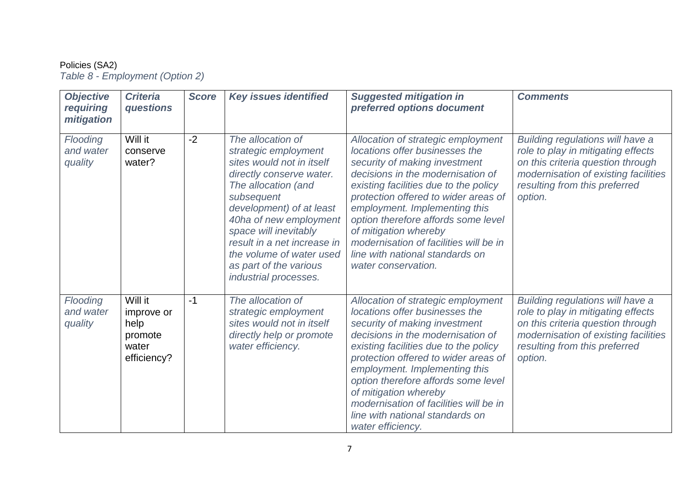#### Policies (SA2)

*Table 8 - Employment (Option 2)*

<span id="page-6-1"></span><span id="page-6-0"></span>

| <b>Objective</b><br>requiring<br>mitigation | <b>Criteria</b><br>questions                                     | <b>Score</b> | <b>Key issues identified</b>                                                                                                                                                                                                                                                                                                         | <b>Suggested mitigation in</b><br>preferred options document                                                                                                                                                                                                                                                                                                                                                                     | <b>Comments</b>                                                                                                                                                                                 |
|---------------------------------------------|------------------------------------------------------------------|--------------|--------------------------------------------------------------------------------------------------------------------------------------------------------------------------------------------------------------------------------------------------------------------------------------------------------------------------------------|----------------------------------------------------------------------------------------------------------------------------------------------------------------------------------------------------------------------------------------------------------------------------------------------------------------------------------------------------------------------------------------------------------------------------------|-------------------------------------------------------------------------------------------------------------------------------------------------------------------------------------------------|
| Flooding<br>and water<br>quality            | Will it<br>conserve<br>water?                                    | $-2$         | The allocation of<br>strategic employment<br>sites would not in itself<br>directly conserve water.<br>The allocation (and<br>subsequent<br>development) of at least<br>40ha of new employment<br>space will inevitably<br>result in a net increase in<br>the volume of water used<br>as part of the various<br>industrial processes. | Allocation of strategic employment<br>locations offer businesses the<br>security of making investment<br>decisions in the modernisation of<br>existing facilities due to the policy<br>protection offered to wider areas of<br>employment. Implementing this<br>option therefore affords some level<br>of mitigation whereby<br>modernisation of facilities will be in<br>line with national standards on<br>water conservation. | Building regulations will have a<br>role to play in mitigating effects<br>on this criteria question through<br>modernisation of existing facilities<br>resulting from this preferred<br>option. |
| Flooding<br>and water<br>quality            | Will it<br>improve or<br>help<br>promote<br>water<br>efficiency? | $-1$         | The allocation of<br>strategic employment<br>sites would not in itself<br>directly help or promote<br>water efficiency.                                                                                                                                                                                                              | Allocation of strategic employment<br>locations offer businesses the<br>security of making investment<br>decisions in the modernisation of<br>existing facilities due to the policy<br>protection offered to wider areas of<br>employment. Implementing this<br>option therefore affords some level<br>of mitigation whereby<br>modernisation of facilities will be in<br>line with national standards on<br>water efficiency.   | Building regulations will have a<br>role to play in mitigating effects<br>on this criteria question through<br>modernisation of existing facilities<br>resulting from this preferred<br>option. |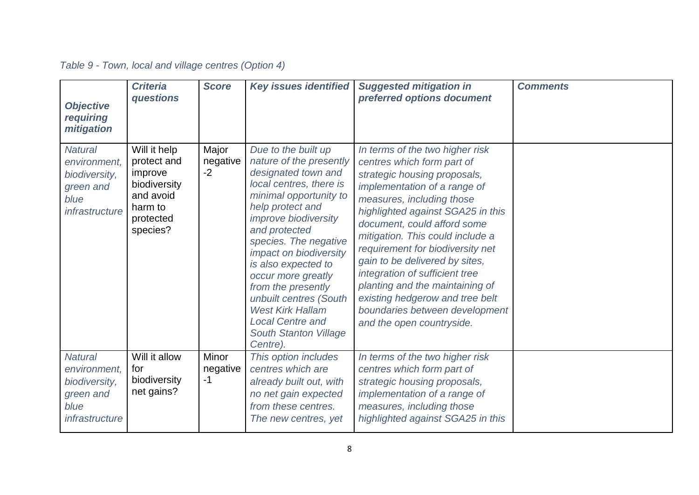<span id="page-7-0"></span>

| <b>Objective</b><br>requiring<br>mitigation                                            | <b>Criteria</b><br>questions                                                                            | <b>Score</b>              | <b>Key issues identified</b>                                                                                                                                                                                                                                                                                                                                                                                                                     | <b>Suggested mitigation in</b><br>preferred options document                                                                                                                                                                                                                                                                                                                                                                                                                                                    | <b>Comments</b> |
|----------------------------------------------------------------------------------------|---------------------------------------------------------------------------------------------------------|---------------------------|--------------------------------------------------------------------------------------------------------------------------------------------------------------------------------------------------------------------------------------------------------------------------------------------------------------------------------------------------------------------------------------------------------------------------------------------------|-----------------------------------------------------------------------------------------------------------------------------------------------------------------------------------------------------------------------------------------------------------------------------------------------------------------------------------------------------------------------------------------------------------------------------------------------------------------------------------------------------------------|-----------------|
| <b>Natural</b><br>environment,<br>biodiversity,<br>green and<br>blue<br>infrastructure | Will it help<br>protect and<br>improve<br>biodiversity<br>and avoid<br>harm to<br>protected<br>species? | Major<br>negative<br>$-2$ | Due to the built up<br>nature of the presently<br>designated town and<br>local centres, there is<br>minimal opportunity to<br>help protect and<br><i>improve biodiversity</i><br>and protected<br>species. The negative<br>impact on biodiversity<br>is also expected to<br>occur more greatly<br>from the presently<br>unbuilt centres (South<br><b>West Kirk Hallam</b><br><b>Local Centre and</b><br><b>South Stanton Village</b><br>Centre). | In terms of the two higher risk<br>centres which form part of<br>strategic housing proposals,<br>implementation of a range of<br>measures, including those<br>highlighted against SGA25 in this<br>document, could afford some<br>mitigation. This could include a<br>requirement for biodiversity net<br>gain to be delivered by sites,<br>integration of sufficient tree<br>planting and the maintaining of<br>existing hedgerow and tree belt<br>boundaries between development<br>and the open countryside. |                 |
| <b>Natural</b><br>environment,<br>biodiversity,<br>green and<br>blue<br>infrastructure | Will it allow<br>for<br>biodiversity<br>net gains?                                                      | Minor<br>negative<br>$-1$ | This option includes<br>centres which are<br>already built out, with<br>no net gain expected<br>from these centres.<br>The new centres, yet                                                                                                                                                                                                                                                                                                      | In terms of the two higher risk<br>centres which form part of<br>strategic housing proposals,<br>implementation of a range of<br>measures, including those<br>highlighted against SGA25 in this                                                                                                                                                                                                                                                                                                                 |                 |

## *Table 9 - Town, local and village centres (Option 4)*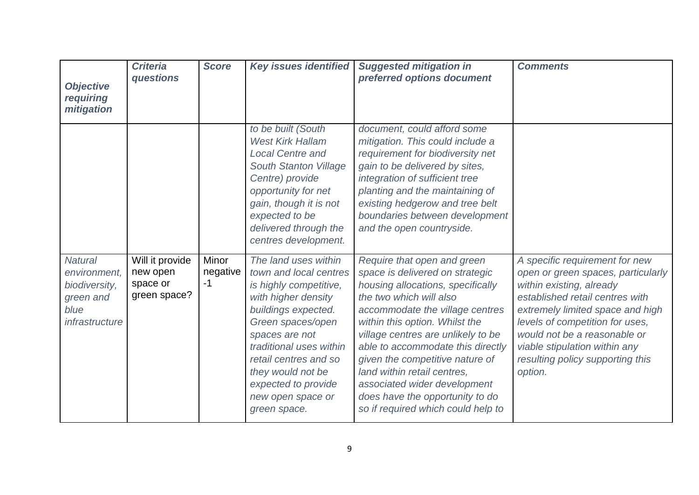| <b>Objective</b><br>requiring<br>mitigation                                            | <b>Criteria</b><br>questions                            | <b>Score</b>              | <b>Key issues identified</b>                                                                                                                                                                                                                                                                       | <b>Suggested mitigation in</b><br>preferred options document                                                                                                                                                                                                                                                                                                                                                                                              | <b>Comments</b>                                                                                                                                                                                                                                                                                                            |
|----------------------------------------------------------------------------------------|---------------------------------------------------------|---------------------------|----------------------------------------------------------------------------------------------------------------------------------------------------------------------------------------------------------------------------------------------------------------------------------------------------|-----------------------------------------------------------------------------------------------------------------------------------------------------------------------------------------------------------------------------------------------------------------------------------------------------------------------------------------------------------------------------------------------------------------------------------------------------------|----------------------------------------------------------------------------------------------------------------------------------------------------------------------------------------------------------------------------------------------------------------------------------------------------------------------------|
|                                                                                        |                                                         |                           | to be built (South<br><b>West Kirk Hallam</b><br><b>Local Centre and</b><br><b>South Stanton Village</b><br>Centre) provide<br>opportunity for net<br>gain, though it is not<br>expected to be<br>delivered through the<br>centres development.                                                    | document, could afford some<br>mitigation. This could include a<br>requirement for biodiversity net<br>gain to be delivered by sites,<br>integration of sufficient tree<br>planting and the maintaining of<br>existing hedgerow and tree belt<br>boundaries between development<br>and the open countryside.                                                                                                                                              |                                                                                                                                                                                                                                                                                                                            |
| <b>Natural</b><br>environment,<br>biodiversity,<br>green and<br>blue<br>infrastructure | Will it provide<br>new open<br>space or<br>green space? | Minor<br>negative<br>$-1$ | The land uses within<br>town and local centres<br>is highly competitive,<br>with higher density<br>buildings expected.<br>Green spaces/open<br>spaces are not<br>traditional uses within<br>retail centres and so<br>they would not be<br>expected to provide<br>new open space or<br>green space. | Require that open and green<br>space is delivered on strategic<br>housing allocations, specifically<br>the two which will also<br>accommodate the village centres<br>within this option. Whilst the<br>village centres are unlikely to be<br>able to accommodate this directly<br>given the competitive nature of<br>land within retail centres,<br>associated wider development<br>does have the opportunity to do<br>so if required which could help to | A specific requirement for new<br>open or green spaces, particularly<br>within existing, already<br>established retail centres with<br>extremely limited space and high<br>levels of competition for uses,<br>would not be a reasonable or<br>viable stipulation within any<br>resulting policy supporting this<br>option. |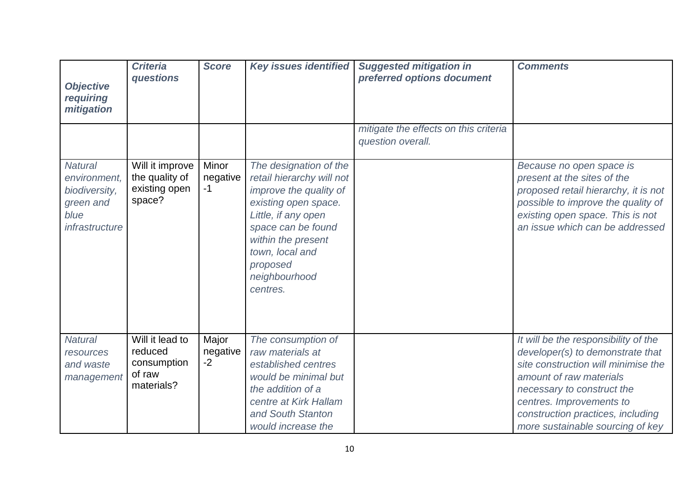| <b>Objective</b><br>requiring<br>mitigation                                            | <b>Criteria</b><br>questions                                      | <b>Score</b>              | <b>Key issues identified</b>                                                                                                                                                                                                         | <b>Suggested mitigation in</b><br>preferred options document | <b>Comments</b>                                                                                                                                                                                                                                                               |
|----------------------------------------------------------------------------------------|-------------------------------------------------------------------|---------------------------|--------------------------------------------------------------------------------------------------------------------------------------------------------------------------------------------------------------------------------------|--------------------------------------------------------------|-------------------------------------------------------------------------------------------------------------------------------------------------------------------------------------------------------------------------------------------------------------------------------|
|                                                                                        |                                                                   |                           |                                                                                                                                                                                                                                      | mitigate the effects on this criteria<br>question overall.   |                                                                                                                                                                                                                                                                               |
| <b>Natural</b><br>environment,<br>biodiversity,<br>green and<br>blue<br>infrastructure | Will it improve<br>the quality of<br>existing open<br>space?      | Minor<br>negative<br>$-1$ | The designation of the<br>retail hierarchy will not<br>improve the quality of<br>existing open space.<br>Little, if any open<br>space can be found<br>within the present<br>town, local and<br>proposed<br>neighbourhood<br>centres. |                                                              | Because no open space is<br>present at the sites of the<br>proposed retail hierarchy, it is not<br>possible to improve the quality of<br>existing open space. This is not<br>an issue which can be addressed                                                                  |
| <b>Natural</b><br>resources<br>and waste<br>management                                 | Will it lead to<br>reduced<br>consumption<br>of raw<br>materials? | Major<br>negative<br>$-2$ | The consumption of<br>raw materials at<br>established centres<br>would be minimal but<br>the addition of a<br>centre at Kirk Hallam<br>and South Stanton<br>would increase the                                                       |                                                              | It will be the responsibility of the<br>developer(s) to demonstrate that<br>site construction will minimise the<br>amount of raw materials<br>necessary to construct the<br>centres. Improvements to<br>construction practices, including<br>more sustainable sourcing of key |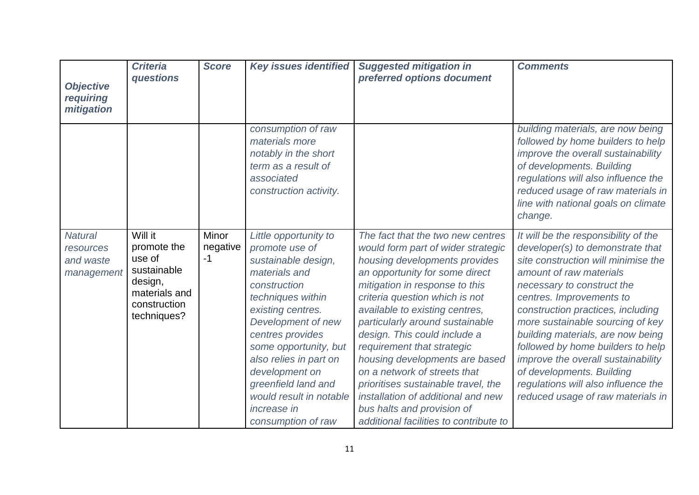| <b>Objective</b><br>requiring<br>mitigation            | <b>Criteria</b><br>questions                                                                               | <b>Score</b>              | <b>Key issues identified</b>                                                                                                                                                                                                                                                                                                                           | <b>Suggested mitigation in</b><br>preferred options document                                                                                                                                                                                                                                                                                                                                                                                                                                                                                                             | <b>Comments</b>                                                                                                                                                                                                                                                                                                                                                                                                                                                                                        |
|--------------------------------------------------------|------------------------------------------------------------------------------------------------------------|---------------------------|--------------------------------------------------------------------------------------------------------------------------------------------------------------------------------------------------------------------------------------------------------------------------------------------------------------------------------------------------------|--------------------------------------------------------------------------------------------------------------------------------------------------------------------------------------------------------------------------------------------------------------------------------------------------------------------------------------------------------------------------------------------------------------------------------------------------------------------------------------------------------------------------------------------------------------------------|--------------------------------------------------------------------------------------------------------------------------------------------------------------------------------------------------------------------------------------------------------------------------------------------------------------------------------------------------------------------------------------------------------------------------------------------------------------------------------------------------------|
|                                                        |                                                                                                            |                           | consumption of raw<br>materials more<br>notably in the short<br>term as a result of<br>associated<br>construction activity.                                                                                                                                                                                                                            |                                                                                                                                                                                                                                                                                                                                                                                                                                                                                                                                                                          | building materials, are now being<br>followed by home builders to help<br>improve the overall sustainability<br>of developments. Building<br>regulations will also influence the<br>reduced usage of raw materials in<br>line with national goals on climate<br>change.                                                                                                                                                                                                                                |
| <b>Natural</b><br>resources<br>and waste<br>management | Will it<br>promote the<br>use of<br>sustainable<br>design,<br>materials and<br>construction<br>techniques? | Minor<br>negative<br>$-1$ | Little opportunity to<br>promote use of<br>sustainable design,<br>materials and<br>construction<br>techniques within<br>existing centres.<br>Development of new<br>centres provides<br>some opportunity, but<br>also relies in part on<br>development on<br>greenfield land and<br>would result in notable<br><i>increase in</i><br>consumption of raw | The fact that the two new centres<br>would form part of wider strategic<br>housing developments provides<br>an opportunity for some direct<br>mitigation in response to this<br>criteria question which is not<br>available to existing centres,<br>particularly around sustainable<br>design. This could include a<br>requirement that strategic<br>housing developments are based<br>on a network of streets that<br>prioritises sustainable travel, the<br>installation of additional and new<br>bus halts and provision of<br>additional facilities to contribute to | It will be the responsibility of the<br>developer(s) to demonstrate that<br>site construction will minimise the<br>amount of raw materials<br>necessary to construct the<br>centres. Improvements to<br>construction practices, including<br>more sustainable sourcing of key<br>building materials, are now being<br>followed by home builders to help<br>improve the overall sustainability<br>of developments. Building<br>regulations will also influence the<br>reduced usage of raw materials in |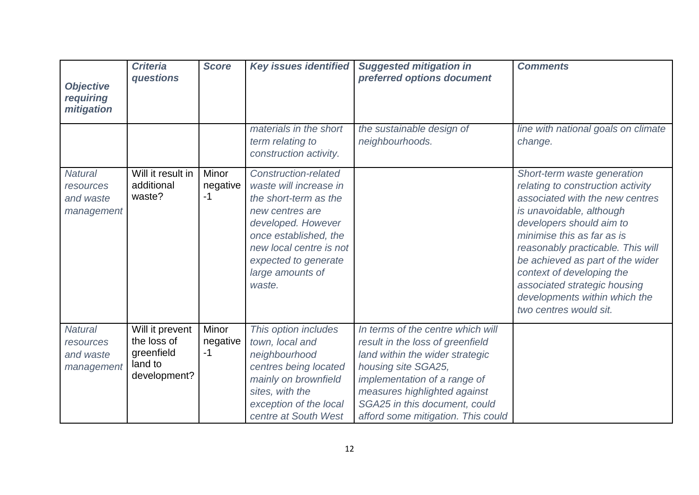| <b>Objective</b><br>requiring<br>mitigation            | <b>Criteria</b><br>questions                                            | <b>Score</b>              | <b>Key issues identified</b>                                                                                                                                                                                                      | <b>Suggested mitigation in</b><br>preferred options document                                                                                                                                                                                                           | <b>Comments</b>                                                                                                                                                                                                                                                                                                                                                                            |
|--------------------------------------------------------|-------------------------------------------------------------------------|---------------------------|-----------------------------------------------------------------------------------------------------------------------------------------------------------------------------------------------------------------------------------|------------------------------------------------------------------------------------------------------------------------------------------------------------------------------------------------------------------------------------------------------------------------|--------------------------------------------------------------------------------------------------------------------------------------------------------------------------------------------------------------------------------------------------------------------------------------------------------------------------------------------------------------------------------------------|
|                                                        |                                                                         |                           | materials in the short<br>term relating to<br>construction activity.                                                                                                                                                              | the sustainable design of<br>neighbourhoods.                                                                                                                                                                                                                           | line with national goals on climate<br>change.                                                                                                                                                                                                                                                                                                                                             |
| <b>Natural</b><br>resources<br>and waste<br>management | Will it result in<br>additional<br>waste?                               | Minor<br>negative<br>$-1$ | <b>Construction-related</b><br>waste will increase in<br>the short-term as the<br>new centres are<br>developed. However<br>once established, the<br>new local centre is not<br>expected to generate<br>large amounts of<br>waste. |                                                                                                                                                                                                                                                                        | Short-term waste generation<br>relating to construction activity<br>associated with the new centres<br>is unavoidable, although<br>developers should aim to<br>minimise this as far as is<br>reasonably practicable. This will<br>be achieved as part of the wider<br>context of developing the<br>associated strategic housing<br>developments within which the<br>two centres would sit. |
| <b>Natural</b><br>resources<br>and waste<br>management | Will it prevent<br>the loss of<br>greenfield<br>land to<br>development? | Minor<br>negative<br>$-1$ | This option includes<br>town, local and<br>neighbourhood<br>centres being located<br>mainly on brownfield<br>sites, with the<br>exception of the local<br>centre at South West                                                    | In terms of the centre which will<br>result in the loss of greenfield<br>land within the wider strategic<br>housing site SGA25,<br>implementation of a range of<br>measures highlighted against<br>SGA25 in this document, could<br>afford some mitigation. This could |                                                                                                                                                                                                                                                                                                                                                                                            |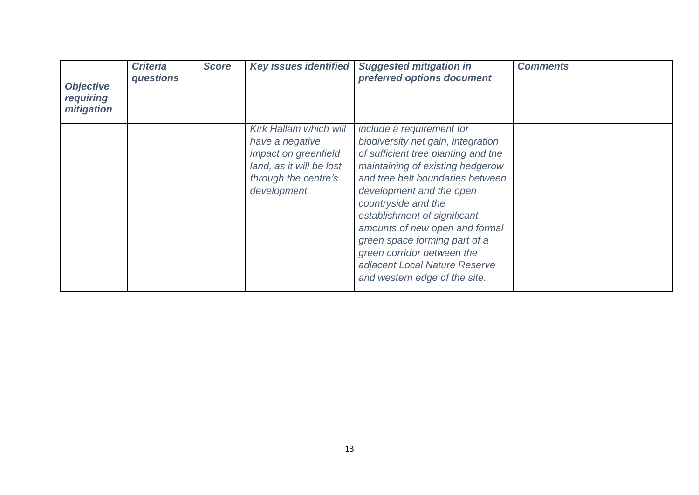| <b>Objective</b><br>requiring<br>mitigation | <b>Criteria</b><br>questions | <b>Score</b> | Key issues identified                                                                                                                        | <b>Suggested mitigation in</b><br>preferred options document                                                                                                                                                                                                                                                                                                                                                                         | <b>Comments</b> |
|---------------------------------------------|------------------------------|--------------|----------------------------------------------------------------------------------------------------------------------------------------------|--------------------------------------------------------------------------------------------------------------------------------------------------------------------------------------------------------------------------------------------------------------------------------------------------------------------------------------------------------------------------------------------------------------------------------------|-----------------|
|                                             |                              |              | <b>Kirk Hallam which will</b><br>have a negative<br>impact on greenfield<br>land, as it will be lost<br>through the centre's<br>development. | include a requirement for<br>biodiversity net gain, integration<br>of sufficient tree planting and the<br>maintaining of existing hedgerow<br>and tree belt boundaries between<br>development and the open<br>countryside and the<br>establishment of significant<br>amounts of new open and formal<br>green space forming part of a<br>green corridor between the<br>adjacent Local Nature Reserve<br>and western edge of the site. |                 |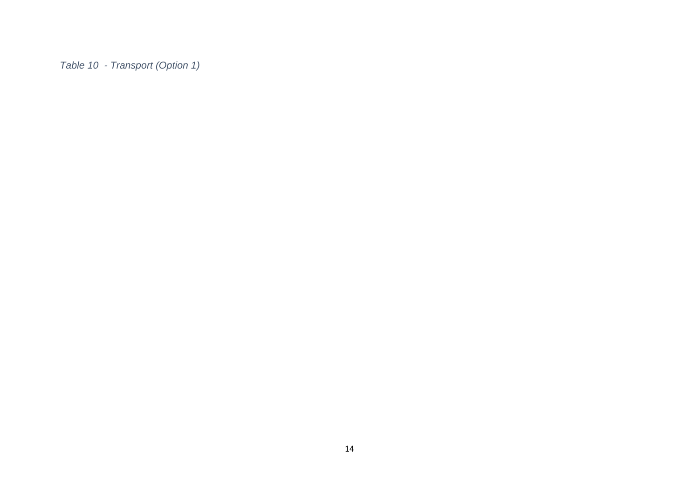<span id="page-13-0"></span>*Table 10 - Transport (Option 1)*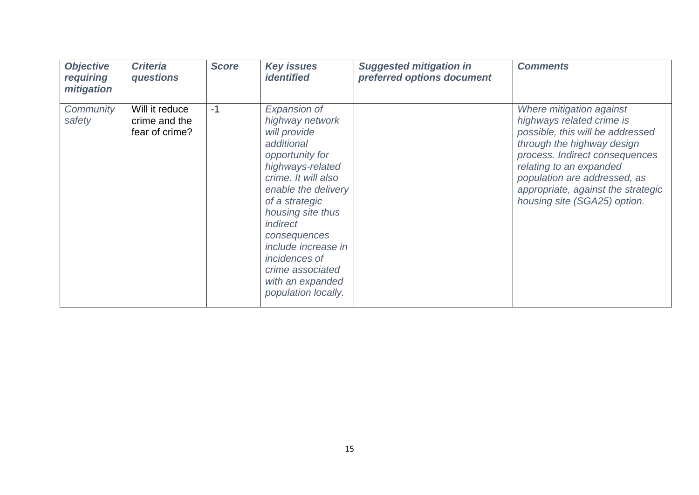| <b>Objective</b><br>requiring<br>mitigation | <b>Criteria</b><br>questions                      | <b>Score</b> | <b>Key issues</b><br><i><b>identified</b></i>                                                                                                                                                                                                                                                                                                     | <b>Suggested mitigation in</b><br>preferred options document | <b>Comments</b>                                                                                                                                                                                                                                                                            |
|---------------------------------------------|---------------------------------------------------|--------------|---------------------------------------------------------------------------------------------------------------------------------------------------------------------------------------------------------------------------------------------------------------------------------------------------------------------------------------------------|--------------------------------------------------------------|--------------------------------------------------------------------------------------------------------------------------------------------------------------------------------------------------------------------------------------------------------------------------------------------|
| Community<br>safety                         | Will it reduce<br>crime and the<br>fear of crime? | $-1$         | <b>Expansion of</b><br>highway network<br>will provide<br>additional<br>opportunity for<br>highways-related<br>crime. It will also<br>enable the delivery<br>of a strategic<br>housing site thus<br><i>indirect</i><br>consequences<br>include increase in<br><i>incidences of</i><br>crime associated<br>with an expanded<br>population locally. |                                                              | Where mitigation against<br>highways related crime is<br>possible, this will be addressed<br>through the highway design<br>process. Indirect consequences<br>relating to an expanded<br>population are addressed, as<br>appropriate, against the strategic<br>housing site (SGA25) option. |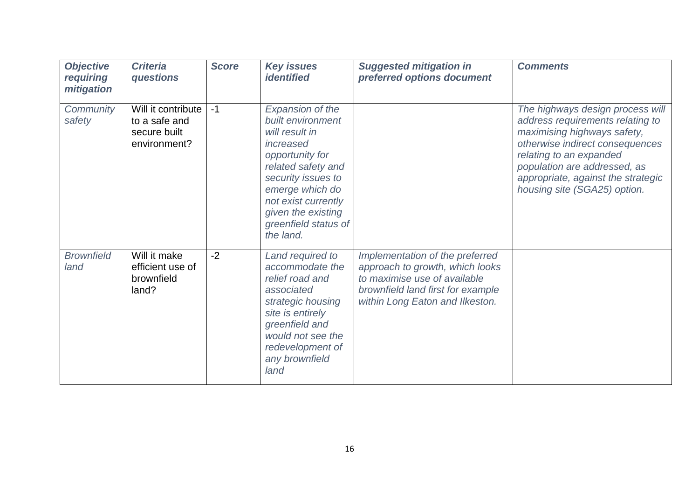| <b>Objective</b><br>requiring<br>mitigation | <b>Criteria</b><br>questions                                        | <b>Score</b> | <b>Key issues</b><br><b>identified</b>                                                                                                                                                                                                   | <b>Suggested mitigation in</b><br>preferred options document                                                                                                               | <b>Comments</b>                                                                                                                                                                                                                                                         |
|---------------------------------------------|---------------------------------------------------------------------|--------------|------------------------------------------------------------------------------------------------------------------------------------------------------------------------------------------------------------------------------------------|----------------------------------------------------------------------------------------------------------------------------------------------------------------------------|-------------------------------------------------------------------------------------------------------------------------------------------------------------------------------------------------------------------------------------------------------------------------|
| Community<br>safety                         | Will it contribute<br>to a safe and<br>secure built<br>environment? | $-1$         | Expansion of the<br>built environment<br>will result in<br>increased<br>opportunity for<br>related safety and<br>security issues to<br>emerge which do<br>not exist currently<br>given the existing<br>greenfield status of<br>the land. |                                                                                                                                                                            | The highways design process will<br>address requirements relating to<br>maximising highways safety,<br>otherwise indirect consequences<br>relating to an expanded<br>population are addressed, as<br>appropriate, against the strategic<br>housing site (SGA25) option. |
| <b>Brownfield</b><br>land                   | Will it make<br>efficient use of<br>brownfield<br>land?             | $-2$         | Land required to<br>accommodate the<br>relief road and<br>associated<br>strategic housing<br>site is entirely<br>greenfield and<br>would not see the<br>redevelopment of<br>any brownfield<br>land                                       | Implementation of the preferred<br>approach to growth, which looks<br>to maximise use of available<br>brownfield land first for example<br>within Long Eaton and Ilkeston. |                                                                                                                                                                                                                                                                         |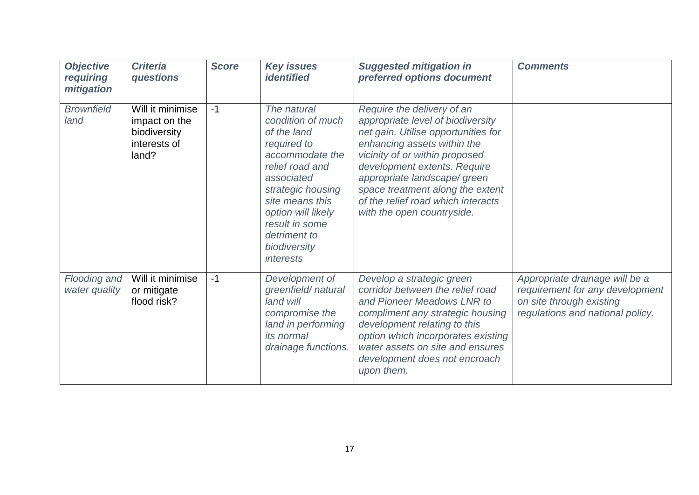| <b>Objective</b><br>requiring<br>mitigation | <b>Criteria</b><br>questions                                               | <b>Score</b> | <b>Key issues</b><br><i>identified</i>                                                                                                                                                                                                          | <b>Suggested mitigation in</b><br>preferred options document                                                                                                                                                                                                                                                                                    | <b>Comments</b>                                                                                                                   |
|---------------------------------------------|----------------------------------------------------------------------------|--------------|-------------------------------------------------------------------------------------------------------------------------------------------------------------------------------------------------------------------------------------------------|-------------------------------------------------------------------------------------------------------------------------------------------------------------------------------------------------------------------------------------------------------------------------------------------------------------------------------------------------|-----------------------------------------------------------------------------------------------------------------------------------|
| <b>Brownfield</b><br>land                   | Will it minimise<br>impact on the<br>biodiversity<br>interests of<br>land? | $-1$         | The natural<br>condition of much<br>of the land<br>required to<br>accommodate the<br>relief road and<br>associated<br>strategic housing<br>site means this<br>option will likely<br>result in some<br>detriment to<br>biodiversity<br>interests | Require the delivery of an<br>appropriate level of biodiversity<br>net gain. Utilise opportunities for<br>enhancing assets within the<br>vicinity of or within proposed<br>development extents. Require<br>appropriate landscape/ green<br>space treatment along the extent<br>of the relief road which interacts<br>with the open countryside. |                                                                                                                                   |
| Flooding and<br>water quality               | Will it minimise<br>or mitigate<br>flood risk?                             | $-1$         | Development of<br>greenfield/natural<br>land will<br>compromise the<br>land in performing<br><i>its normal</i><br>drainage functions.                                                                                                           | Develop a strategic green<br>corridor between the relief road<br>and Pioneer Meadows LNR to<br>compliment any strategic housing<br>development relating to this<br>option which incorporates existing<br>water assets on site and ensures<br>development does not encroach<br>upon them.                                                        | Appropriate drainage will be a<br>requirement for any development<br>on site through existing<br>regulations and national policy. |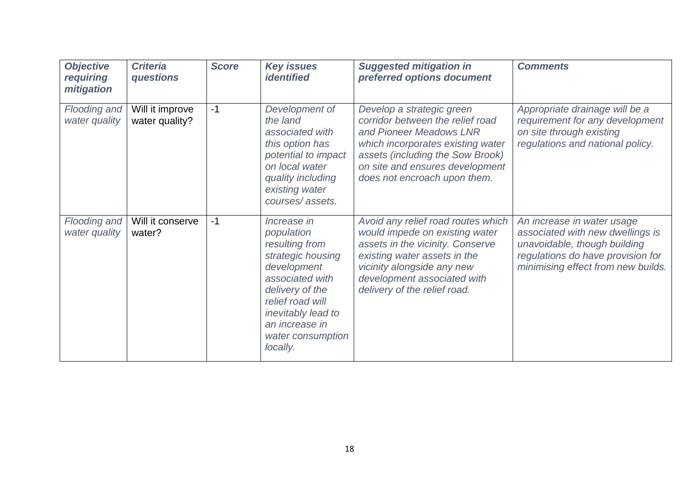| <b>Objective</b><br>requiring<br>mitigation | <b>Criteria</b><br>questions      | <b>Score</b> | <b>Key issues</b><br><b>identified</b>                                                                                                                                                                             | <b>Suggested mitigation in</b><br>preferred options document                                                                                                                                                                          | <b>Comments</b>                                                                                                                                                           |
|---------------------------------------------|-----------------------------------|--------------|--------------------------------------------------------------------------------------------------------------------------------------------------------------------------------------------------------------------|---------------------------------------------------------------------------------------------------------------------------------------------------------------------------------------------------------------------------------------|---------------------------------------------------------------------------------------------------------------------------------------------------------------------------|
| Flooding and<br>water quality               | Will it improve<br>water quality? | $-1$         | Development of<br>the land<br>associated with<br>this option has<br>potential to impact<br>on local water<br>quality including<br>existing water<br>courses/assets.                                                | Develop a strategic green<br>corridor between the relief road<br>and Pioneer Meadows LNR<br>which incorporates existing water<br>assets (including the Sow Brook)<br>on site and ensures development<br>does not encroach upon them.  | Appropriate drainage will be a<br>requirement for any development<br>on site through existing<br>regulations and national policy.                                         |
| Flooding and<br>water quality               | Will it conserve<br>water?        | $-1$         | Increase in<br>population<br>resulting from<br>strategic housing<br>development<br>associated with<br>delivery of the<br>relief road will<br>inevitably lead to<br>an increase in<br>water consumption<br>locally. | Avoid any relief road routes which<br>would impede on existing water<br>assets in the vicinity. Conserve<br>existing water assets in the<br>vicinity alongside any new<br>development associated with<br>delivery of the relief road. | An increase in water usage<br>associated with new dwellings is<br>unavoidable, though building<br>regulations do have provision for<br>minimising effect from new builds. |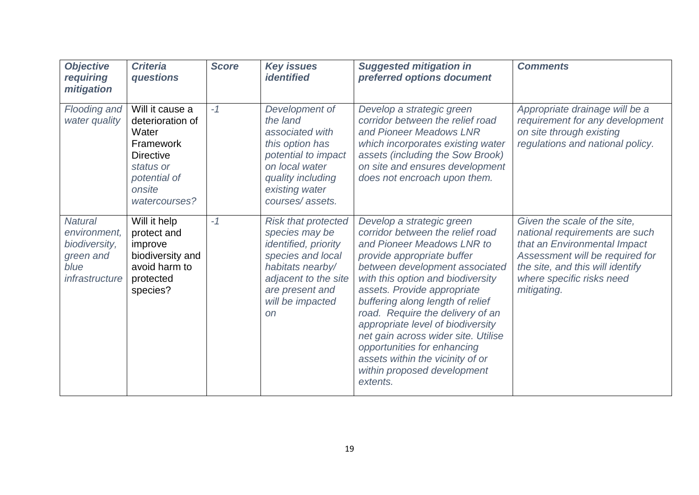| <b>Objective</b><br>requiring<br>mitigation                                            | <b>Criteria</b><br>questions                                                                                                          | <b>Score</b> | <b>Key issues</b><br><i><b>identified</b></i>                                                                                                                                             | <b>Suggested mitigation in</b><br>preferred options document                                                                                                                                                                                                                                                                                                                                                                                                                                      | <b>Comments</b>                                                                                                                                                                                                   |
|----------------------------------------------------------------------------------------|---------------------------------------------------------------------------------------------------------------------------------------|--------------|-------------------------------------------------------------------------------------------------------------------------------------------------------------------------------------------|---------------------------------------------------------------------------------------------------------------------------------------------------------------------------------------------------------------------------------------------------------------------------------------------------------------------------------------------------------------------------------------------------------------------------------------------------------------------------------------------------|-------------------------------------------------------------------------------------------------------------------------------------------------------------------------------------------------------------------|
| Flooding and<br>water quality                                                          | Will it cause a<br>deterioration of<br>Water<br>Framework<br><b>Directive</b><br>status or<br>potential of<br>onsite<br>watercourses? | $-1$         | Development of<br>the land<br>associated with<br>this option has<br>potential to impact<br>on local water<br>quality including<br>existing water<br>courses/assets.                       | Develop a strategic green<br>corridor between the relief road<br>and Pioneer Meadows LNR<br>which incorporates existing water<br>assets (including the Sow Brook)<br>on site and ensures development<br>does not encroach upon them.                                                                                                                                                                                                                                                              | Appropriate drainage will be a<br>requirement for any development<br>on site through existing<br>regulations and national policy.                                                                                 |
| <b>Natural</b><br>environment,<br>biodiversity,<br>green and<br>blue<br>infrastructure | Will it help<br>protect and<br>improve<br>biodiversity and<br>avoid harm to<br>protected<br>species?                                  | $-1$         | <b>Risk that protected</b><br>species may be<br>identified, priority<br>species and local<br>habitats nearby/<br>adjacent to the site<br>are present and<br>will be impacted<br><b>on</b> | Develop a strategic green<br>corridor between the relief road<br>and Pioneer Meadows LNR to<br>provide appropriate buffer<br>between development associated<br>with this option and biodiversity<br>assets. Provide appropriate<br>buffering along length of relief<br>road. Require the delivery of an<br>appropriate level of biodiversity<br>net gain across wider site. Utilise<br>opportunities for enhancing<br>assets within the vicinity of or<br>within proposed development<br>extents. | Given the scale of the site,<br>national requirements are such<br>that an Environmental Impact<br>Assessment will be required for<br>the site, and this will identify<br>where specific risks need<br>mitigating. |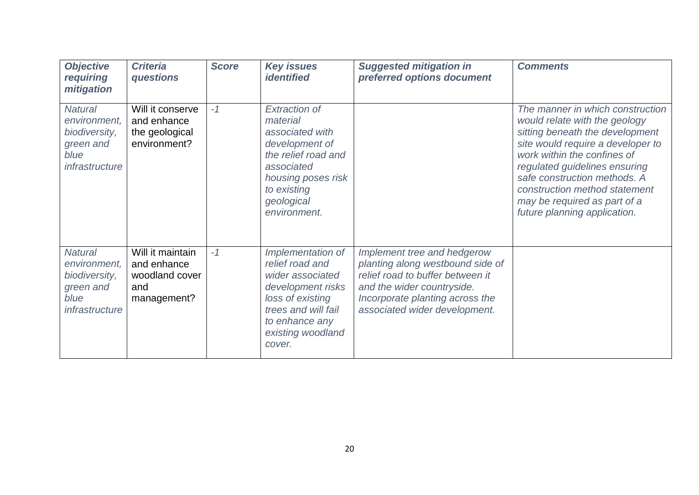| <b>Objective</b><br>requiring<br>mitigation                                            | <b>Criteria</b><br>questions                                            | <b>Score</b> | <b>Key issues</b><br><b>identified</b>                                                                                                                                        | <b>Suggested mitigation in</b><br>preferred options document                                                                                                                                          | <b>Comments</b>                                                                                                                                                                                                                                                                                                                            |
|----------------------------------------------------------------------------------------|-------------------------------------------------------------------------|--------------|-------------------------------------------------------------------------------------------------------------------------------------------------------------------------------|-------------------------------------------------------------------------------------------------------------------------------------------------------------------------------------------------------|--------------------------------------------------------------------------------------------------------------------------------------------------------------------------------------------------------------------------------------------------------------------------------------------------------------------------------------------|
| <b>Natural</b><br>environment,<br>biodiversity,<br>green and<br>blue<br>infrastructure | Will it conserve<br>and enhance<br>the geological<br>environment?       | $-1$         | <b>Extraction of</b><br>material<br>associated with<br>development of<br>the relief road and<br>associated<br>housing poses risk<br>to existing<br>geological<br>environment. |                                                                                                                                                                                                       | The manner in which construction<br>would relate with the geology<br>sitting beneath the development<br>site would require a developer to<br>work within the confines of<br>regulated guidelines ensuring<br>safe construction methods. A<br>construction method statement<br>may be required as part of a<br>future planning application. |
| <b>Natural</b><br>environment,<br>biodiversity,<br>green and<br>blue<br>infrastructure | Will it maintain<br>and enhance<br>woodland cover<br>and<br>management? | $-1$         | Implementation of<br>relief road and<br>wider associated<br>development risks<br>loss of existing<br>trees and will fail<br>to enhance any<br>existing woodland<br>cover.     | Implement tree and hedgerow<br>planting along westbound side of<br>relief road to buffer between it<br>and the wider countryside.<br>Incorporate planting across the<br>associated wider development. |                                                                                                                                                                                                                                                                                                                                            |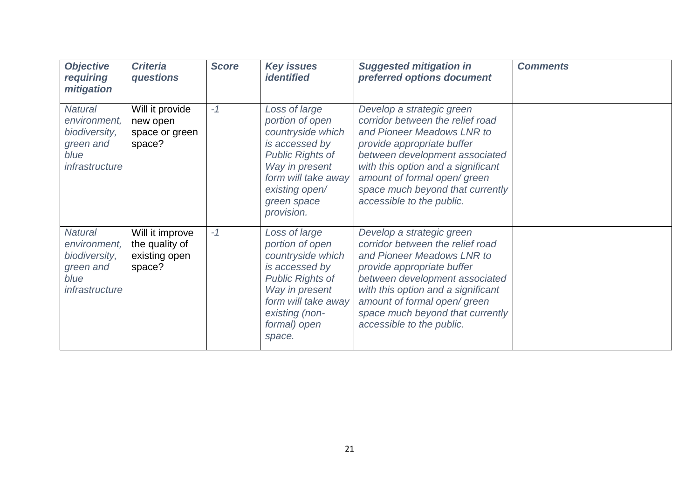| <b>Objective</b><br>requiring<br>mitigation                                            | <b>Criteria</b><br>questions                                 | <b>Score</b> | <b>Key issues</b><br><i>identified</i>                                                                                                                                                     | <b>Suggested mitigation in</b><br>preferred options document                                                                                                                                                                                                                                      | <b>Comments</b> |
|----------------------------------------------------------------------------------------|--------------------------------------------------------------|--------------|--------------------------------------------------------------------------------------------------------------------------------------------------------------------------------------------|---------------------------------------------------------------------------------------------------------------------------------------------------------------------------------------------------------------------------------------------------------------------------------------------------|-----------------|
| <b>Natural</b><br>environment,<br>biodiversity,<br>green and<br>blue<br>infrastructure | Will it provide<br>new open<br>space or green<br>space?      | $-1$         | Loss of large<br>portion of open<br>countryside which<br>is accessed by<br><b>Public Rights of</b><br>Way in present<br>form will take away<br>existing open/<br>green space<br>provision. | Develop a strategic green<br>corridor between the relief road<br>and Pioneer Meadows LNR to<br>provide appropriate buffer<br>between development associated<br>with this option and a significant<br>amount of formal open/green<br>space much beyond that currently<br>accessible to the public. |                 |
| <b>Natural</b><br>environment,<br>biodiversity,<br>green and<br>blue<br>infrastructure | Will it improve<br>the quality of<br>existing open<br>space? | $-1$         | Loss of large<br>portion of open<br>countryside which<br>is accessed by<br><b>Public Rights of</b><br>Way in present<br>form will take away<br>existing (non-<br>formal) open<br>space.    | Develop a strategic green<br>corridor between the relief road<br>and Pioneer Meadows LNR to<br>provide appropriate buffer<br>between development associated<br>with this option and a significant<br>amount of formal open/green<br>space much beyond that currently<br>accessible to the public. |                 |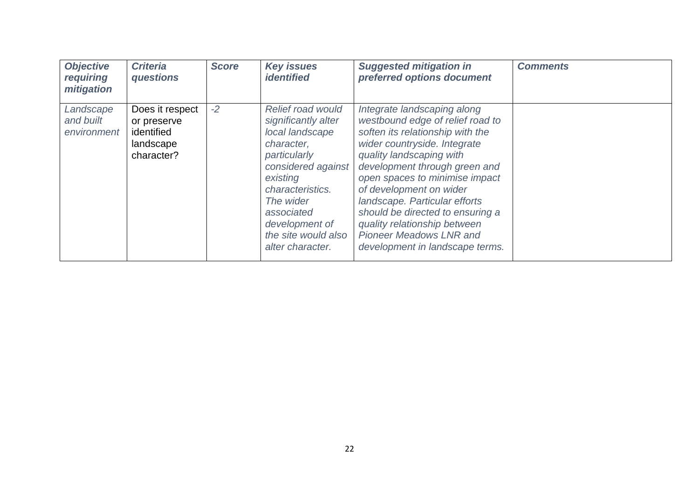| <b>Objective</b><br>requiring<br>mitigation | <b>Criteria</b><br>questions                                            | <b>Score</b> | <b>Key issues</b><br><i>identified</i>                                                                                                                                                                                                         | <b>Suggested mitigation in</b><br>preferred options document                                                                                                                                                                                                                                                                                                                                                                            | <b>Comments</b> |
|---------------------------------------------|-------------------------------------------------------------------------|--------------|------------------------------------------------------------------------------------------------------------------------------------------------------------------------------------------------------------------------------------------------|-----------------------------------------------------------------------------------------------------------------------------------------------------------------------------------------------------------------------------------------------------------------------------------------------------------------------------------------------------------------------------------------------------------------------------------------|-----------------|
| Landscape<br>and built<br>environment       | Does it respect<br>or preserve<br>identified<br>landscape<br>character? | $-2$         | <b>Relief road would</b><br>significantly alter<br>local landscape<br>character,<br>particularly<br>considered against<br>existing<br>characteristics.<br>The wider<br>associated<br>development of<br>the site would also<br>alter character. | Integrate landscaping along<br>westbound edge of relief road to<br>soften its relationship with the<br>wider countryside. Integrate<br>quality landscaping with<br>development through green and<br>open spaces to minimise impact<br>of development on wider<br>landscape. Particular efforts<br>should be directed to ensuring a<br>quality relationship between<br><b>Pioneer Meadows LNR and</b><br>development in landscape terms. |                 |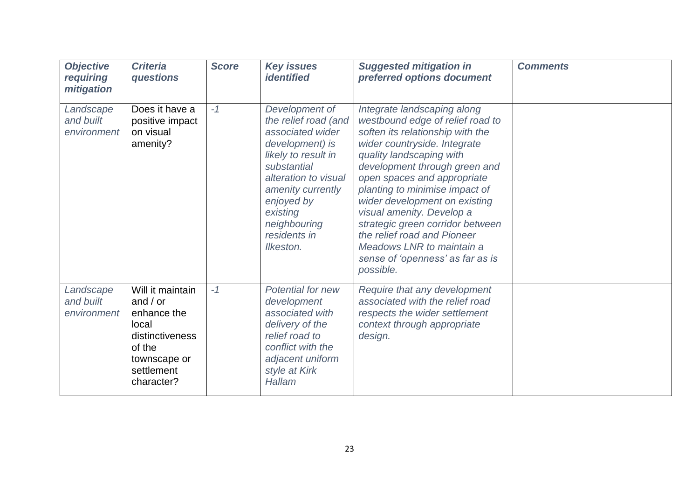| <b>Objective</b><br>requiring<br>mitigation | <b>Criteria</b><br>questions                                                                                                    | <b>Score</b> | <b>Key issues</b><br><i>identified</i>                                                                                                                                                                                                  | <b>Suggested mitigation in</b><br>preferred options document                                                                                                                                                                                                                                                                                                                                                                                                                     | <b>Comments</b> |
|---------------------------------------------|---------------------------------------------------------------------------------------------------------------------------------|--------------|-----------------------------------------------------------------------------------------------------------------------------------------------------------------------------------------------------------------------------------------|----------------------------------------------------------------------------------------------------------------------------------------------------------------------------------------------------------------------------------------------------------------------------------------------------------------------------------------------------------------------------------------------------------------------------------------------------------------------------------|-----------------|
| Landscape<br>and built<br>environment       | Does it have a<br>positive impact<br>on visual<br>amenity?                                                                      | $-1$         | Development of<br>the relief road (and<br>associated wider<br>development) is<br>likely to result in<br>substantial<br>alteration to visual<br>amenity currently<br>enjoyed by<br>existing<br>neighbouring<br>residents in<br>Ilkeston. | Integrate landscaping along<br>westbound edge of relief road to<br>soften its relationship with the<br>wider countryside. Integrate<br>quality landscaping with<br>development through green and<br>open spaces and appropriate<br>planting to minimise impact of<br>wider development on existing<br>visual amenity. Develop a<br>strategic green corridor between<br>the relief road and Pioneer<br>Meadows LNR to maintain a<br>sense of 'openness' as far as is<br>possible. |                 |
| Landscape<br>and built<br>environment       | Will it maintain<br>and $/$ or<br>enhance the<br>local<br>distinctiveness<br>of the<br>townscape or<br>settlement<br>character? | $-1$         | <b>Potential for new</b><br>development<br>associated with<br>delivery of the<br>relief road to<br>conflict with the<br>adjacent uniform<br>style at Kirk<br>Hallam                                                                     | Require that any development<br>associated with the relief road<br>respects the wider settlement<br>context through appropriate<br>design.                                                                                                                                                                                                                                                                                                                                       |                 |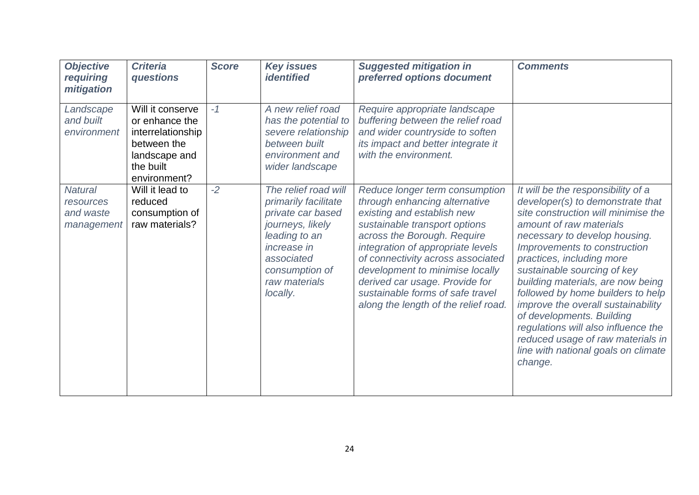| <b>Objective</b><br>requiring<br>mitigation            | <b>Criteria</b><br>questions                                                                                         | <b>Score</b> | <b>Key issues</b><br><i><b>identified</b></i>                                                                                                                                             | <b>Suggested mitigation in</b><br>preferred options document                                                                                                                                                                                                                                                                                                                             | <b>Comments</b>                                                                                                                                                                                                                                                                                                                                                                                                                                                                                                                                  |
|--------------------------------------------------------|----------------------------------------------------------------------------------------------------------------------|--------------|-------------------------------------------------------------------------------------------------------------------------------------------------------------------------------------------|------------------------------------------------------------------------------------------------------------------------------------------------------------------------------------------------------------------------------------------------------------------------------------------------------------------------------------------------------------------------------------------|--------------------------------------------------------------------------------------------------------------------------------------------------------------------------------------------------------------------------------------------------------------------------------------------------------------------------------------------------------------------------------------------------------------------------------------------------------------------------------------------------------------------------------------------------|
| Landscape<br>and built<br>environment                  | Will it conserve<br>or enhance the<br>interrelationship<br>between the<br>landscape and<br>the built<br>environment? | $-1$         | A new relief road<br>has the potential to<br>severe relationship<br>between built<br>environment and<br>wider landscape                                                                   | Require appropriate landscape<br>buffering between the relief road<br>and wider countryside to soften<br>its impact and better integrate it<br>with the environment.                                                                                                                                                                                                                     |                                                                                                                                                                                                                                                                                                                                                                                                                                                                                                                                                  |
| <b>Natural</b><br>resources<br>and waste<br>management | Will it lead to<br>reduced<br>consumption of<br>raw materials?                                                       | $-2$         | The relief road will<br>primarily facilitate<br>private car based<br>journeys, likely<br>leading to an<br><i>increase in</i><br>associated<br>consumption of<br>raw materials<br>locally. | Reduce longer term consumption<br>through enhancing alternative<br>existing and establish new<br>sustainable transport options<br>across the Borough. Require<br>integration of appropriate levels<br>of connectivity across associated<br>development to minimise locally<br>derived car usage. Provide for<br>sustainable forms of safe travel<br>along the length of the relief road. | It will be the responsibility of a<br>developer(s) to demonstrate that<br>site construction will minimise the<br>amount of raw materials<br>necessary to develop housing.<br>Improvements to construction<br>practices, including more<br>sustainable sourcing of key<br>building materials, are now being<br>followed by home builders to help<br>improve the overall sustainability<br>of developments. Building<br>regulations will also influence the<br>reduced usage of raw materials in<br>line with national goals on climate<br>change. |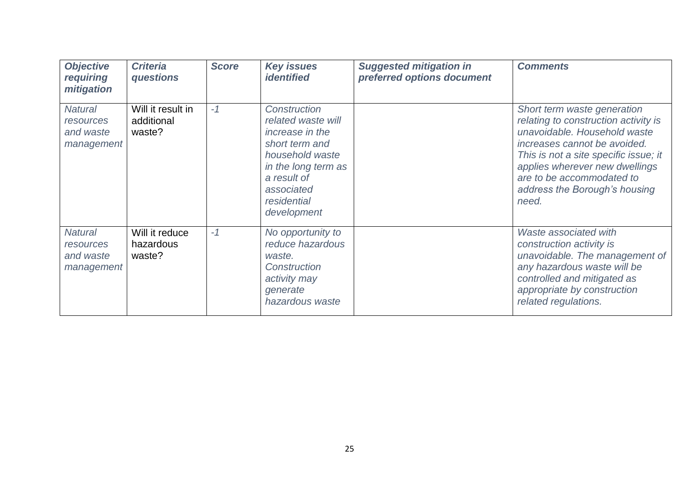| <b>Objective</b><br>requiring<br>mitigation            | <b>Criteria</b><br>questions              | <b>Score</b> | <b>Key issues</b><br><i><b>identified</b></i>                                                                                                                                | <b>Suggested mitigation in</b><br>preferred options document | <b>Comments</b>                                                                                                                                                                                                                                                                       |
|--------------------------------------------------------|-------------------------------------------|--------------|------------------------------------------------------------------------------------------------------------------------------------------------------------------------------|--------------------------------------------------------------|---------------------------------------------------------------------------------------------------------------------------------------------------------------------------------------------------------------------------------------------------------------------------------------|
| <b>Natural</b><br>resources<br>and waste<br>management | Will it result in<br>additional<br>waste? | $-1$         | Construction<br>related waste will<br>increase in the<br>short term and<br>household waste<br>in the long term as<br>a result of<br>associated<br>residential<br>development |                                                              | Short term waste generation<br>relating to construction activity is<br>unavoidable. Household waste<br>increases cannot be avoided.<br>This is not a site specific issue; it<br>applies wherever new dwellings<br>are to be accommodated to<br>address the Borough's housing<br>need. |
| <b>Natural</b><br>resources<br>and waste<br>management | Will it reduce<br>hazardous<br>waste?     | $-1$         | No opportunity to<br>reduce hazardous<br>waste.<br><b>Construction</b><br>activity may<br>generate<br>hazardous waste                                                        |                                                              | Waste associated with<br>construction activity is<br>unavoidable. The management of<br>any hazardous waste will be<br>controlled and mitigated as<br>appropriate by construction<br>related regulations.                                                                              |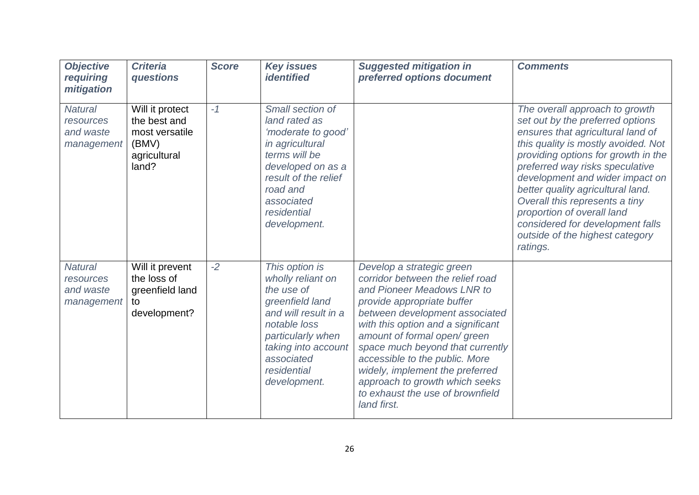| <b>Objective</b><br>requiring<br>mitigation            | <b>Criteria</b><br>questions                                                        | <b>Score</b> | <b>Key issues</b><br><b>identified</b>                                                                                                                                                                | <b>Suggested mitigation in</b><br>preferred options document                                                                                                                                                                                                                                                                                                                                                                   | <b>Comments</b>                                                                                                                                                                                                                                                                                                                                                                                                                                     |
|--------------------------------------------------------|-------------------------------------------------------------------------------------|--------------|-------------------------------------------------------------------------------------------------------------------------------------------------------------------------------------------------------|--------------------------------------------------------------------------------------------------------------------------------------------------------------------------------------------------------------------------------------------------------------------------------------------------------------------------------------------------------------------------------------------------------------------------------|-----------------------------------------------------------------------------------------------------------------------------------------------------------------------------------------------------------------------------------------------------------------------------------------------------------------------------------------------------------------------------------------------------------------------------------------------------|
| <b>Natural</b><br>resources<br>and waste<br>management | Will it protect<br>the best and<br>most versatile<br>(BMV)<br>agricultural<br>land? | $-1$         | Small section of<br>land rated as<br>'moderate to good'<br>in agricultural<br>terms will be<br>developed on as a<br>result of the relief<br>road and<br>associated<br>residential<br>development.     |                                                                                                                                                                                                                                                                                                                                                                                                                                | The overall approach to growth<br>set out by the preferred options<br>ensures that agricultural land of<br>this quality is mostly avoided. Not<br>providing options for growth in the<br>preferred way risks speculative<br>development and wider impact on<br>better quality agricultural land.<br>Overall this represents a tiny<br>proportion of overall land<br>considered for development falls<br>outside of the highest category<br>ratings. |
| <b>Natural</b><br>resources<br>and waste<br>management | Will it prevent<br>the loss of<br>greenfield land<br>to<br>development?             | $-2$         | This option is<br>wholly reliant on<br>the use of<br>greenfield land<br>and will result in a<br>notable loss<br>particularly when<br>taking into account<br>associated<br>residential<br>development. | Develop a strategic green<br>corridor between the relief road<br>and Pioneer Meadows LNR to<br>provide appropriate buffer<br>between development associated<br>with this option and a significant<br>amount of formal open/green<br>space much beyond that currently<br>accessible to the public. More<br>widely, implement the preferred<br>approach to growth which seeks<br>to exhaust the use of brownfield<br>land first. |                                                                                                                                                                                                                                                                                                                                                                                                                                                     |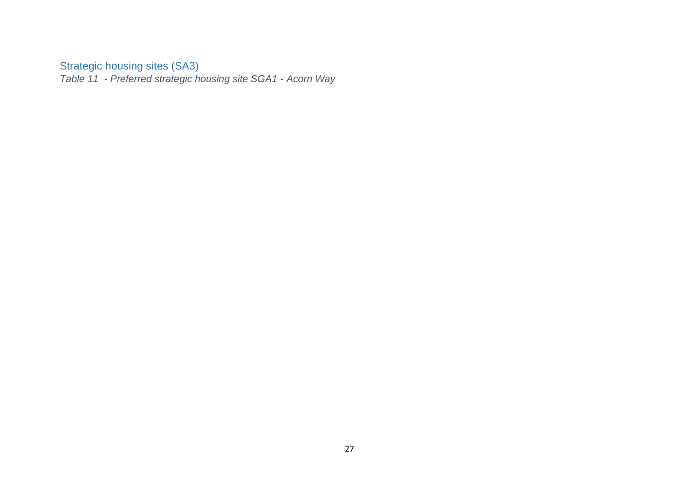#### Strategic housing sites (SA3)

<span id="page-26-1"></span><span id="page-26-0"></span>*Table 11 - Preferred strategic housing site SGA1 - Acorn Way*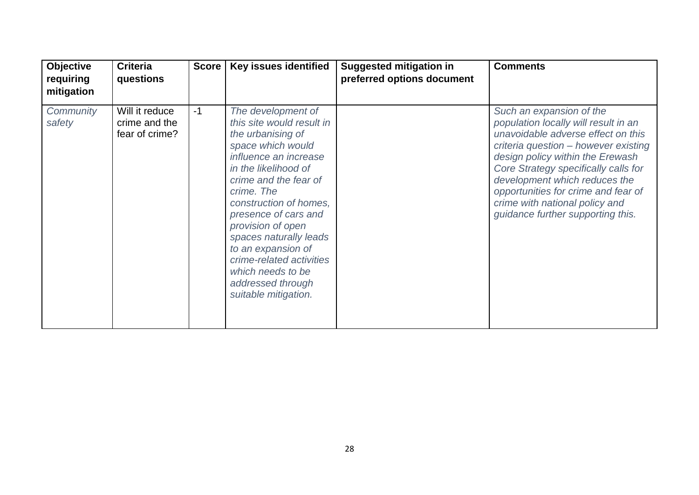| <b>Objective</b><br>requiring<br>mitigation | <b>Criteria</b><br>questions                      | <b>Score</b> | <b>Key issues identified</b>                                                                                                                                                                                                                                                                                                                                                                           | <b>Suggested mitigation in</b><br>preferred options document | <b>Comments</b>                                                                                                                                                                                                                                                                                                                                                           |
|---------------------------------------------|---------------------------------------------------|--------------|--------------------------------------------------------------------------------------------------------------------------------------------------------------------------------------------------------------------------------------------------------------------------------------------------------------------------------------------------------------------------------------------------------|--------------------------------------------------------------|---------------------------------------------------------------------------------------------------------------------------------------------------------------------------------------------------------------------------------------------------------------------------------------------------------------------------------------------------------------------------|
| Community<br>safety                         | Will it reduce<br>crime and the<br>fear of crime? | $-1$         | The development of<br>this site would result in<br>the urbanising of<br>space which would<br>influence an increase<br>in the likelihood of<br>crime and the fear of<br>crime. The<br>construction of homes,<br>presence of cars and<br>provision of open<br>spaces naturally leads<br>to an expansion of<br>crime-related activities<br>which needs to be<br>addressed through<br>suitable mitigation. |                                                              | Such an expansion of the<br>population locally will result in an<br>unavoidable adverse effect on this<br>criteria question - however existing<br>design policy within the Erewash<br>Core Strategy specifically calls for<br>development which reduces the<br>opportunities for crime and fear of<br>crime with national policy and<br>guidance further supporting this. |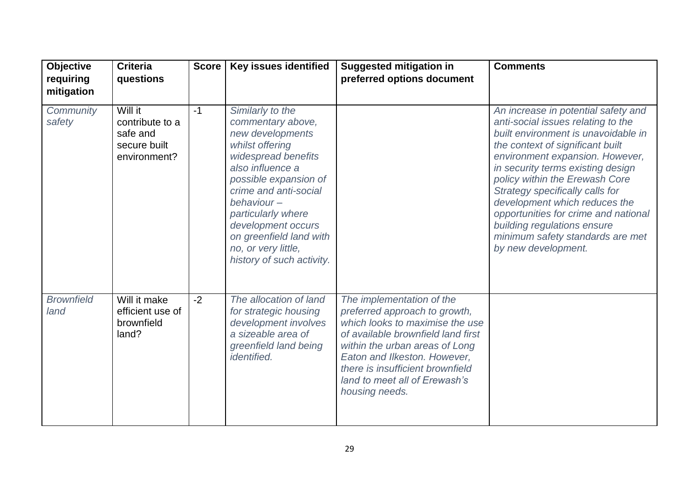| <b>Objective</b><br>requiring | <b>Criteria</b><br>questions                                           | <b>Score</b> | Key issues identified                                                                                                                                                                                                                                                                                              | <b>Suggested mitigation in</b><br>preferred options document                                                                                                                                                                                                                                 | <b>Comments</b>                                                                                                                                                                                                                                                                                                                                                                                                                                                      |
|-------------------------------|------------------------------------------------------------------------|--------------|--------------------------------------------------------------------------------------------------------------------------------------------------------------------------------------------------------------------------------------------------------------------------------------------------------------------|----------------------------------------------------------------------------------------------------------------------------------------------------------------------------------------------------------------------------------------------------------------------------------------------|----------------------------------------------------------------------------------------------------------------------------------------------------------------------------------------------------------------------------------------------------------------------------------------------------------------------------------------------------------------------------------------------------------------------------------------------------------------------|
| mitigation                    |                                                                        |              |                                                                                                                                                                                                                                                                                                                    |                                                                                                                                                                                                                                                                                              |                                                                                                                                                                                                                                                                                                                                                                                                                                                                      |
| Community<br>safety           | Will it<br>contribute to a<br>safe and<br>secure built<br>environment? | $-1$         | Similarly to the<br>commentary above,<br>new developments<br>whilst offering<br>widespread benefits<br>also influence a<br>possible expansion of<br>crime and anti-social<br>behaviour-<br>particularly where<br>development occurs<br>on greenfield land with<br>no, or very little,<br>history of such activity. |                                                                                                                                                                                                                                                                                              | An increase in potential safety and<br>anti-social issues relating to the<br>built environment is unavoidable in<br>the context of significant built<br>environment expansion. However,<br>in security terms existing design<br>policy within the Erewash Core<br>Strategy specifically calls for<br>development which reduces the<br>opportunities for crime and national<br>building regulations ensure<br>minimum safety standards are met<br>by new development. |
| <b>Brownfield</b><br>land     | Will it make<br>efficient use of<br>brownfield<br>land?                | $-2$         | The allocation of land<br>for strategic housing<br>development involves<br>a sizeable area of<br>greenfield land being<br><i>identified.</i>                                                                                                                                                                       | The implementation of the<br>preferred approach to growth,<br>which looks to maximise the use<br>of available brownfield land first<br>within the urban areas of Long<br>Eaton and Ilkeston. However,<br>there is insufficient brownfield<br>land to meet all of Erewash's<br>housing needs. |                                                                                                                                                                                                                                                                                                                                                                                                                                                                      |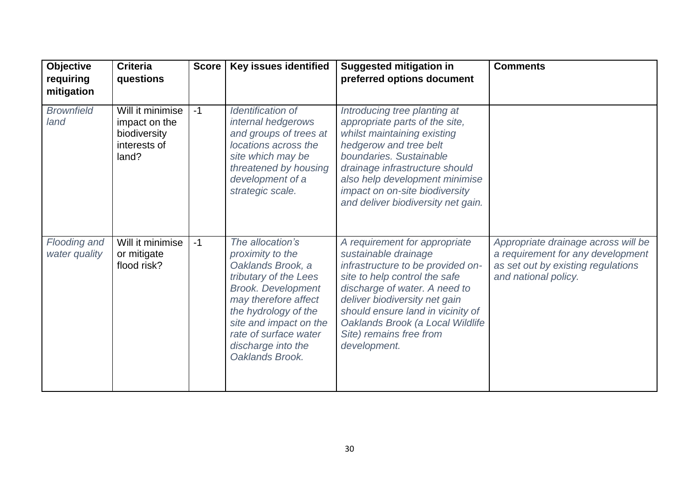| <b>Objective</b><br>requiring<br>mitigation | <b>Criteria</b><br>questions                                               | <b>Score</b> | Key issues identified                                                                                                                                                                                                                                       | <b>Suggested mitigation in</b><br>preferred options document                                                                                                                                                                                                                                                      | <b>Comments</b>                                                                                                                        |
|---------------------------------------------|----------------------------------------------------------------------------|--------------|-------------------------------------------------------------------------------------------------------------------------------------------------------------------------------------------------------------------------------------------------------------|-------------------------------------------------------------------------------------------------------------------------------------------------------------------------------------------------------------------------------------------------------------------------------------------------------------------|----------------------------------------------------------------------------------------------------------------------------------------|
| <b>Brownfield</b><br>land                   | Will it minimise<br>impact on the<br>biodiversity<br>interests of<br>land? | $-1$         | Identification of<br>internal hedgerows<br>and groups of trees at<br>locations across the<br>site which may be<br>threatened by housing<br>development of a<br>strategic scale.                                                                             | Introducing tree planting at<br>appropriate parts of the site,<br>whilst maintaining existing<br>hedgerow and tree belt<br>boundaries. Sustainable<br>drainage infrastructure should<br>also help development minimise<br>impact on on-site biodiversity<br>and deliver biodiversity net gain.                    |                                                                                                                                        |
| <b>Flooding and</b><br>water quality        | Will it minimise<br>or mitigate<br>flood risk?                             | $-1$         | The allocation's<br>proximity to the<br>Oaklands Brook, a<br>tributary of the Lees<br><b>Brook. Development</b><br>may therefore affect<br>the hydrology of the<br>site and impact on the<br>rate of surface water<br>discharge into the<br>Oaklands Brook. | A requirement for appropriate<br>sustainable drainage<br>infrastructure to be provided on-<br>site to help control the safe<br>discharge of water. A need to<br>deliver biodiversity net gain<br>should ensure land in vicinity of<br>Oaklands Brook (a Local Wildlife<br>Site) remains free from<br>development. | Appropriate drainage across will be<br>a requirement for any development<br>as set out by existing regulations<br>and national policy. |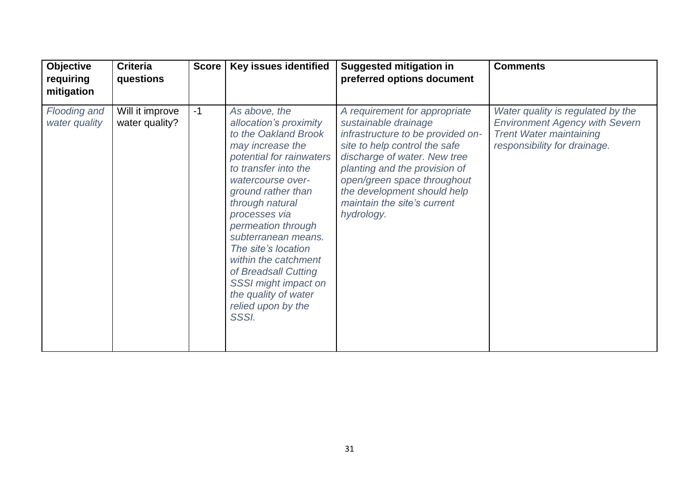| <b>Objective</b><br>requiring<br>mitigation | <b>Criteria</b><br>questions      | <b>Score</b> | <b>Key issues identified</b>                                                                                                                                                                                                                                                                                                                                                                                              | <b>Suggested mitigation in</b><br>preferred options document                                                                                                                                                                                                                                            | <b>Comments</b>                                                                                                                              |
|---------------------------------------------|-----------------------------------|--------------|---------------------------------------------------------------------------------------------------------------------------------------------------------------------------------------------------------------------------------------------------------------------------------------------------------------------------------------------------------------------------------------------------------------------------|---------------------------------------------------------------------------------------------------------------------------------------------------------------------------------------------------------------------------------------------------------------------------------------------------------|----------------------------------------------------------------------------------------------------------------------------------------------|
| Flooding and<br>water quality               | Will it improve<br>water quality? | $-1$         | As above, the<br>allocation's proximity<br>to the Oakland Brook<br>may increase the<br>potential for rainwaters<br>to transfer into the<br>watercourse over-<br>ground rather than<br>through natural<br>processes via<br>permeation through<br>subterranean means.<br>The site's location<br>within the catchment<br>of Breadsall Cutting<br>SSSI might impact on<br>the quality of water<br>relied upon by the<br>SSSI. | A requirement for appropriate<br>sustainable drainage<br>infrastructure to be provided on-<br>site to help control the safe<br>discharge of water. New tree<br>planting and the provision of<br>open/green space throughout<br>the development should help<br>maintain the site's current<br>hydrology. | Water quality is regulated by the<br><b>Environment Agency with Severn</b><br><b>Trent Water maintaining</b><br>responsibility for drainage. |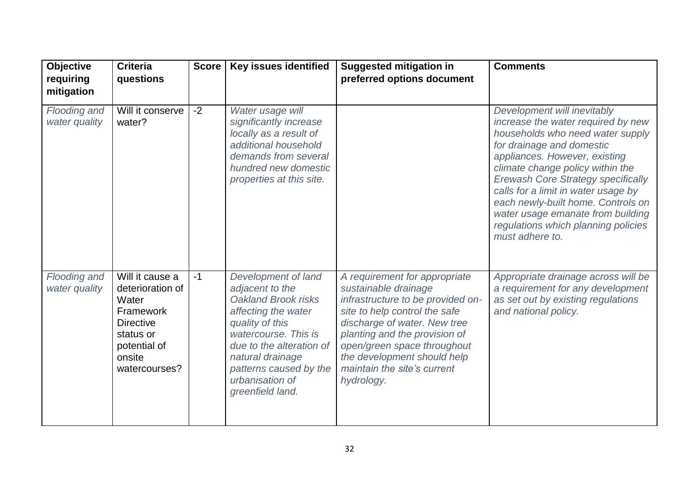| Objective<br>requiring                      | <b>Criteria</b><br>questions                                                                                                          | <b>Score</b> | Key issues identified                                                                                                                                                                                                                            | <b>Suggested mitigation in</b><br>preferred options document                                                                                                                                                                                                                                            | <b>Comments</b>                                                                                                                                                                                                                                                                                                                                                                                                                  |
|---------------------------------------------|---------------------------------------------------------------------------------------------------------------------------------------|--------------|--------------------------------------------------------------------------------------------------------------------------------------------------------------------------------------------------------------------------------------------------|---------------------------------------------------------------------------------------------------------------------------------------------------------------------------------------------------------------------------------------------------------------------------------------------------------|----------------------------------------------------------------------------------------------------------------------------------------------------------------------------------------------------------------------------------------------------------------------------------------------------------------------------------------------------------------------------------------------------------------------------------|
| mitigation<br>Flooding and<br>water quality | Will it conserve<br>water?                                                                                                            | $-2$         | Water usage will<br>significantly increase<br>locally as a result of<br>additional household<br>demands from several<br>hundred new domestic<br>properties at this site.                                                                         |                                                                                                                                                                                                                                                                                                         | Development will inevitably<br>increase the water required by new<br>households who need water supply<br>for drainage and domestic<br>appliances. However, existing<br>climate change policy within the<br><b>Erewash Core Strategy specifically</b><br>calls for a limit in water usage by<br>each newly-built home. Controls on<br>water usage emanate from building<br>regulations which planning policies<br>must adhere to. |
| Flooding and<br>water quality               | Will it cause a<br>deterioration of<br>Water<br>Framework<br><b>Directive</b><br>status or<br>potential of<br>onsite<br>watercourses? | $-1$         | Development of land<br>adjacent to the<br>Oakland Brook risks<br>affecting the water<br>quality of this<br>watercourse. This is<br>due to the alteration of<br>natural drainage<br>patterns caused by the<br>urbanisation of<br>greenfield land. | A requirement for appropriate<br>sustainable drainage<br>infrastructure to be provided on-<br>site to help control the safe<br>discharge of water. New tree<br>planting and the provision of<br>open/green space throughout<br>the development should help<br>maintain the site's current<br>hydrology. | Appropriate drainage across will be<br>a requirement for any development<br>as set out by existing regulations<br>and national policy.                                                                                                                                                                                                                                                                                           |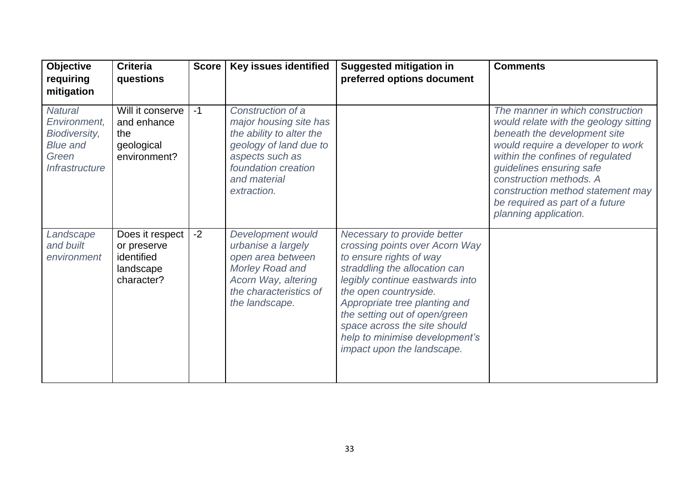| <b>Objective</b><br>requiring<br>mitigation                                                                        | <b>Criteria</b><br>questions                                            | <b>Score</b> | Key issues identified                                                                                                                                                      | <b>Suggested mitigation in</b><br>preferred options document                                                                                                                                                                                                                                                                                            | <b>Comments</b>                                                                                                                                                                                                                                                                                                                            |
|--------------------------------------------------------------------------------------------------------------------|-------------------------------------------------------------------------|--------------|----------------------------------------------------------------------------------------------------------------------------------------------------------------------------|---------------------------------------------------------------------------------------------------------------------------------------------------------------------------------------------------------------------------------------------------------------------------------------------------------------------------------------------------------|--------------------------------------------------------------------------------------------------------------------------------------------------------------------------------------------------------------------------------------------------------------------------------------------------------------------------------------------|
| <b>Natural</b><br>Environment,<br><b>Biodiversity,</b><br><b>Blue and</b><br>Green<br><i><b>Infrastructure</b></i> | Will it conserve<br>and enhance<br>the<br>geological<br>environment?    | $-1$         | Construction of a<br>major housing site has<br>the ability to alter the<br>geology of land due to<br>aspects such as<br>foundation creation<br>and material<br>extraction. |                                                                                                                                                                                                                                                                                                                                                         | The manner in which construction<br>would relate with the geology sitting<br>beneath the development site<br>would require a developer to work<br>within the confines of regulated<br>guidelines ensuring safe<br>construction methods. A<br>construction method statement may<br>be required as part of a future<br>planning application. |
| Landscape<br>and built<br>environment                                                                              | Does it respect<br>or preserve<br>identified<br>landscape<br>character? | $-2$         | Development would<br>urbanise a largely<br>open area between<br>Morley Road and<br>Acorn Way, altering<br>the characteristics of<br>the landscape.                         | Necessary to provide better<br>crossing points over Acorn Way<br>to ensure rights of way<br>straddling the allocation can<br>legibly continue eastwards into<br>the open countryside.<br>Appropriate tree planting and<br>the setting out of open/green<br>space across the site should<br>help to minimise development's<br>impact upon the landscape. |                                                                                                                                                                                                                                                                                                                                            |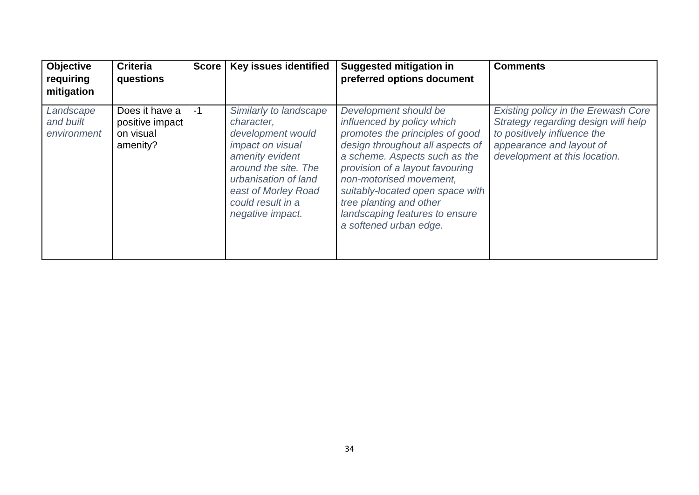| <b>Objective</b><br>requiring<br>mitigation | <b>Criteria</b><br>questions                               | <b>Score</b> | <b>Key issues identified</b>                                                                                                                                                                                     | <b>Suggested mitigation in</b><br>preferred options document                                                                                                                                                                                                                                                                                         | <b>Comments</b>                                                                                                                                                               |
|---------------------------------------------|------------------------------------------------------------|--------------|------------------------------------------------------------------------------------------------------------------------------------------------------------------------------------------------------------------|------------------------------------------------------------------------------------------------------------------------------------------------------------------------------------------------------------------------------------------------------------------------------------------------------------------------------------------------------|-------------------------------------------------------------------------------------------------------------------------------------------------------------------------------|
| Landscape<br>and built<br>environment       | Does it have a<br>positive impact<br>on visual<br>amenity? | -1           | Similarly to landscape<br>character,<br>development would<br>impact on visual<br>amenity evident<br>around the site. The<br>urbanisation of land<br>east of Morley Road<br>could result in a<br>negative impact. | Development should be<br>influenced by policy which<br>promotes the principles of good<br>design throughout all aspects of<br>a scheme. Aspects such as the<br>provision of a layout favouring<br>non-motorised movement.<br>suitably-located open space with<br>tree planting and other<br>landscaping features to ensure<br>a softened urban edge. | <b>Existing policy in the Erewash Core</b><br>Strategy regarding design will help<br>to positively influence the<br>appearance and layout of<br>development at this location. |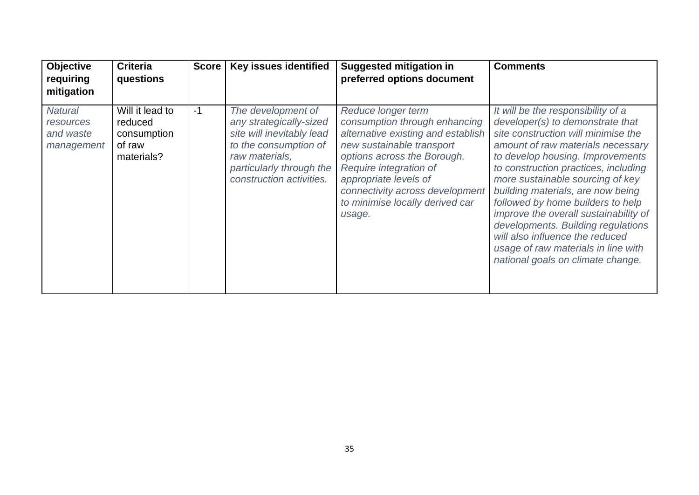| <b>Objective</b><br>requiring<br>mitigation            | <b>Criteria</b><br>questions                                      | <b>Score</b> | <b>Key issues identified</b>                                                                                                                                                  | <b>Suggested mitigation in</b><br>preferred options document                                                                                                                                                                                                                             | <b>Comments</b>                                                                                                                                                                                                                                                                                                                                                                                                                                                                                                                            |
|--------------------------------------------------------|-------------------------------------------------------------------|--------------|-------------------------------------------------------------------------------------------------------------------------------------------------------------------------------|------------------------------------------------------------------------------------------------------------------------------------------------------------------------------------------------------------------------------------------------------------------------------------------|--------------------------------------------------------------------------------------------------------------------------------------------------------------------------------------------------------------------------------------------------------------------------------------------------------------------------------------------------------------------------------------------------------------------------------------------------------------------------------------------------------------------------------------------|
| <b>Natural</b><br>resources<br>and waste<br>management | Will it lead to<br>reduced<br>consumption<br>of raw<br>materials? | $-1$         | The development of<br>any strategically-sized<br>site will inevitably lead<br>to the consumption of<br>raw materials,<br>particularly through the<br>construction activities. | Reduce longer term<br>consumption through enhancing<br>alternative existing and establish<br>new sustainable transport<br>options across the Borough.<br>Require integration of<br>appropriate levels of<br>connectivity across development<br>to minimise locally derived car<br>usage. | It will be the responsibility of a<br>developer(s) to demonstrate that<br>site construction will minimise the<br>amount of raw materials necessary<br>to develop housing. Improvements<br>to construction practices, including<br>more sustainable sourcing of key<br>building materials, are now being<br>followed by home builders to help<br>improve the overall sustainability of<br>developments. Building regulations<br>will also influence the reduced<br>usage of raw materials in line with<br>national goals on climate change. |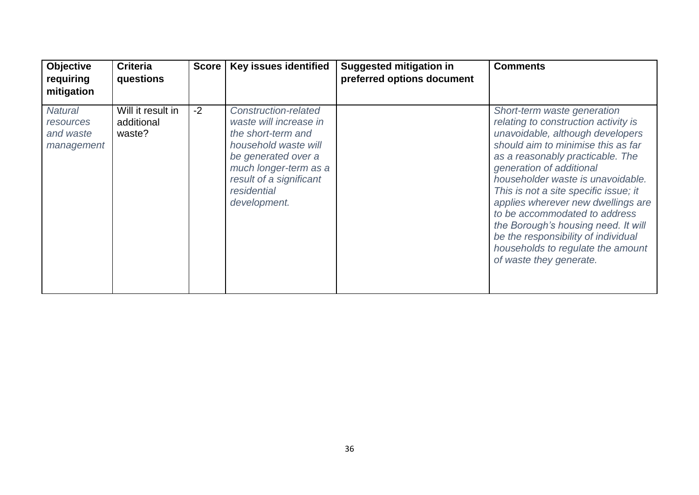| <b>Objective</b><br>requiring<br>mitigation            | <b>Criteria</b><br>questions              | <b>Score</b> | <b>Key issues identified</b>                                                                                                                                                                           | <b>Suggested mitigation in</b><br>preferred options document | <b>Comments</b>                                                                                                                                                                                                                                                                                                                                                                                                                                                                                                  |
|--------------------------------------------------------|-------------------------------------------|--------------|--------------------------------------------------------------------------------------------------------------------------------------------------------------------------------------------------------|--------------------------------------------------------------|------------------------------------------------------------------------------------------------------------------------------------------------------------------------------------------------------------------------------------------------------------------------------------------------------------------------------------------------------------------------------------------------------------------------------------------------------------------------------------------------------------------|
| <b>Natural</b><br>resources<br>and waste<br>management | Will it result in<br>additional<br>waste? | $-2$         | Construction-related<br>waste will increase in<br>the short-term and<br>household waste will<br>be generated over a<br>much longer-term as a<br>result of a significant<br>residential<br>development. |                                                              | Short-term waste generation<br>relating to construction activity is<br>unavoidable, although developers<br>should aim to minimise this as far<br>as a reasonably practicable. The<br>generation of additional<br>householder waste is unavoidable.<br>This is not a site specific issue; it<br>applies wherever new dwellings are<br>to be accommodated to address<br>the Borough's housing need. It will<br>be the responsibility of individual<br>households to regulate the amount<br>of waste they generate. |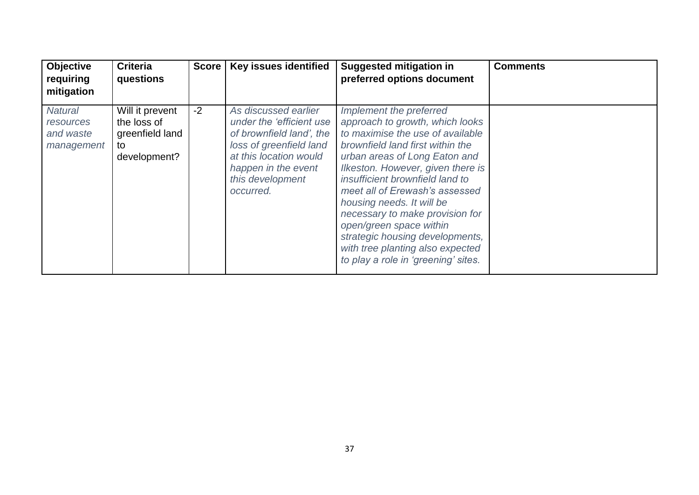| <b>Objective</b><br>requiring<br>mitigation            | <b>Criteria</b><br>questions                                            | <b>Score</b> | <b>Key issues identified</b>                                                                                                                                                              | <b>Suggested mitigation in</b><br>preferred options document                                                                                                                                                                                                                                                                                                                                                                                                                           | <b>Comments</b> |
|--------------------------------------------------------|-------------------------------------------------------------------------|--------------|-------------------------------------------------------------------------------------------------------------------------------------------------------------------------------------------|----------------------------------------------------------------------------------------------------------------------------------------------------------------------------------------------------------------------------------------------------------------------------------------------------------------------------------------------------------------------------------------------------------------------------------------------------------------------------------------|-----------------|
| <b>Natural</b><br>resources<br>and waste<br>management | Will it prevent<br>the loss of<br>greenfield land<br>to<br>development? | $-2$         | As discussed earlier<br>under the 'efficient use<br>of brownfield land', the<br>loss of greenfield land<br>at this location would<br>happen in the event<br>this development<br>occurred. | Implement the preferred<br>approach to growth, which looks<br>to maximise the use of available<br>brownfield land first within the<br>urban areas of Long Eaton and<br>Ilkeston. However, given there is<br>insufficient brownfield land to<br>meet all of Erewash's assessed<br>housing needs. It will be<br>necessary to make provision for<br>open/green space within<br>strategic housing developments,<br>with tree planting also expected<br>to play a role in 'greening' sites. |                 |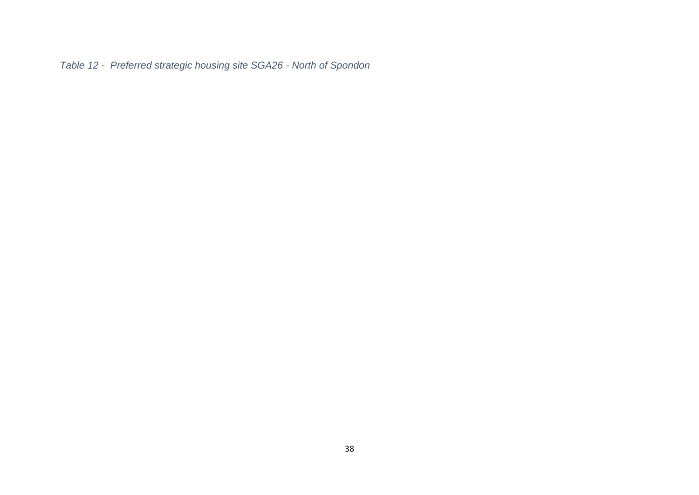<span id="page-37-0"></span>*Table 12 - Preferred strategic housing site SGA26 - North of Spondon*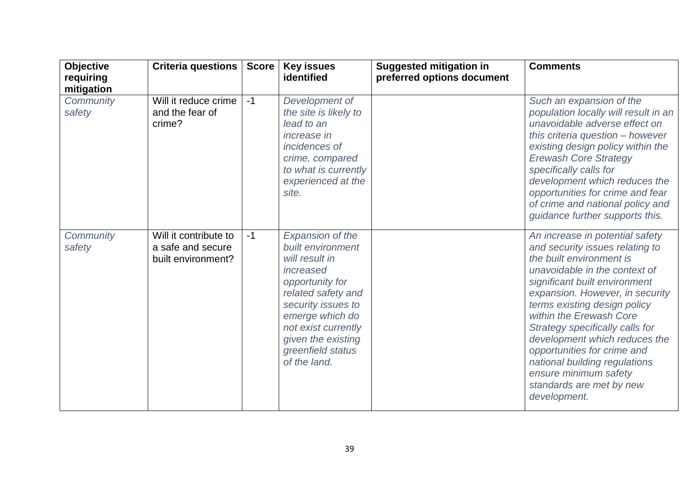| <b>Objective</b><br>requiring<br>mitigation | Criteria questions                                               | <b>Score</b> | <b>Key issues</b><br>identified                                                                                                                                                                                                          | <b>Suggested mitigation in</b><br>preferred options document | <b>Comments</b>                                                                                                                                                                                                                                                                                                                                                                                                                                                         |
|---------------------------------------------|------------------------------------------------------------------|--------------|------------------------------------------------------------------------------------------------------------------------------------------------------------------------------------------------------------------------------------------|--------------------------------------------------------------|-------------------------------------------------------------------------------------------------------------------------------------------------------------------------------------------------------------------------------------------------------------------------------------------------------------------------------------------------------------------------------------------------------------------------------------------------------------------------|
| Community<br>safety                         | Will it reduce crime<br>and the fear of<br>crime?                | $-1$         | Development of<br>the site is likely to<br>lead to an<br><i>increase in</i><br>incidences of<br>crime, compared<br>to what is currently<br>experienced at the<br>site.                                                                   |                                                              | Such an expansion of the<br>population locally will result in an<br>unavoidable adverse effect on<br>this criteria question - however<br>existing design policy within the<br><b>Erewash Core Strategy</b><br>specifically calls for<br>development which reduces the<br>opportunities for crime and fear<br>of crime and national policy and<br>guidance further supports this.                                                                                        |
| Community<br>safety                         | Will it contribute to<br>a safe and secure<br>built environment? | $-1$         | Expansion of the<br>built environment<br>will result in<br>increased<br>opportunity for<br>related safety and<br>security issues to<br>emerge which do<br>not exist currently<br>given the existing<br>greenfield status<br>of the land. |                                                              | An increase in potential safety<br>and security issues relating to<br>the built environment is<br>unavoidable in the context of<br>significant built environment<br>expansion. However, in security<br>terms existing design policy<br>within the Erewash Core<br>Strategy specifically calls for<br>development which reduces the<br>opportunities for crime and<br>national building regulations<br>ensure minimum safety<br>standards are met by new<br>development. |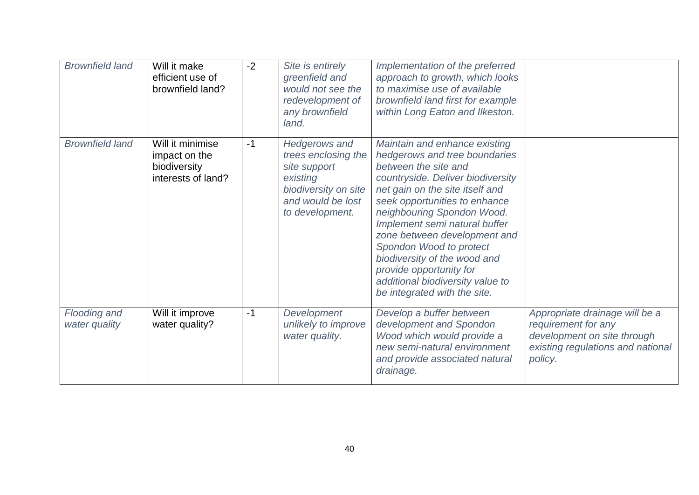| <b>Brownfield land</b>        | Will it make<br>efficient use of<br>brownfield land?                    | $-2$ | Site is entirely<br>greenfield and<br>would not see the<br>redevelopment of<br>any brownfield<br>land.                                  | Implementation of the preferred<br>approach to growth, which looks<br>to maximise use of available<br>brownfield land first for example<br>within Long Eaton and Ilkeston.                                                                                                                                                                                                                                                                               |                                                                                                                                      |
|-------------------------------|-------------------------------------------------------------------------|------|-----------------------------------------------------------------------------------------------------------------------------------------|----------------------------------------------------------------------------------------------------------------------------------------------------------------------------------------------------------------------------------------------------------------------------------------------------------------------------------------------------------------------------------------------------------------------------------------------------------|--------------------------------------------------------------------------------------------------------------------------------------|
| <b>Brownfield land</b>        | Will it minimise<br>impact on the<br>biodiversity<br>interests of land? | $-1$ | <b>Hedgerows and</b><br>trees enclosing the<br>site support<br>existing<br>biodiversity on site<br>and would be lost<br>to development. | Maintain and enhance existing<br>hedgerows and tree boundaries<br>between the site and<br>countryside. Deliver biodiversity<br>net gain on the site itself and<br>seek opportunities to enhance<br>neighbouring Spondon Wood.<br>Implement semi natural buffer<br>zone between development and<br>Spondon Wood to protect<br>biodiversity of the wood and<br>provide opportunity for<br>additional biodiversity value to<br>be integrated with the site. |                                                                                                                                      |
| Flooding and<br>water quality | Will it improve<br>water quality?                                       | $-1$ | Development<br>unlikely to improve<br>water quality.                                                                                    | Develop a buffer between<br>development and Spondon<br>Wood which would provide a<br>new semi-natural environment<br>and provide associated natural<br>drainage.                                                                                                                                                                                                                                                                                         | Appropriate drainage will be a<br>requirement for any<br>development on site through<br>existing regulations and national<br>policy. |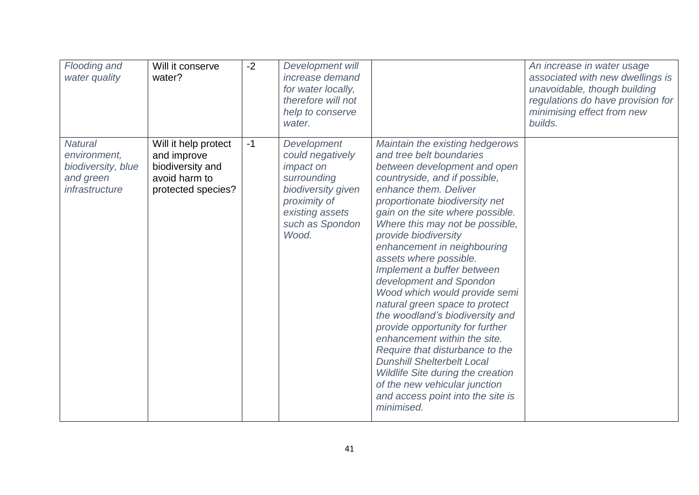| Flooding and<br>water quality                                                       | Will it conserve<br>water?                                                                     | $-2$ | Development will<br>increase demand<br>for water locally,<br>therefore will not<br>help to conserve<br>water.                                           |                                                                                                                                                                                                                                                                                                                                                                                                                                                                                                                                                                                                                                                                                                                                                                                           | An increase in water usage<br>associated with new dwellings is<br>unavoidable, though building<br>regulations do have provision for<br>minimising effect from new<br>builds. |
|-------------------------------------------------------------------------------------|------------------------------------------------------------------------------------------------|------|---------------------------------------------------------------------------------------------------------------------------------------------------------|-------------------------------------------------------------------------------------------------------------------------------------------------------------------------------------------------------------------------------------------------------------------------------------------------------------------------------------------------------------------------------------------------------------------------------------------------------------------------------------------------------------------------------------------------------------------------------------------------------------------------------------------------------------------------------------------------------------------------------------------------------------------------------------------|------------------------------------------------------------------------------------------------------------------------------------------------------------------------------|
| <b>Natural</b><br>environment,<br>biodiversity, blue<br>and green<br>infrastructure | Will it help protect<br>and improve<br>biodiversity and<br>avoid harm to<br>protected species? | $-1$ | Development<br>could negatively<br><i>impact on</i><br>surrounding<br>biodiversity given<br>proximity of<br>existing assets<br>such as Spondon<br>Wood. | Maintain the existing hedgerows<br>and tree belt boundaries<br>between development and open<br>countryside, and if possible,<br>enhance them. Deliver<br>proportionate biodiversity net<br>gain on the site where possible.<br>Where this may not be possible,<br>provide biodiversity<br>enhancement in neighbouring<br>assets where possible.<br>Implement a buffer between<br>development and Spondon<br>Wood which would provide semi<br>natural green space to protect<br>the woodland's biodiversity and<br>provide opportunity for further<br>enhancement within the site.<br>Require that disturbance to the<br><b>Dunshill Shelterbelt Local</b><br><b>Wildlife Site during the creation</b><br>of the new vehicular junction<br>and access point into the site is<br>minimised. |                                                                                                                                                                              |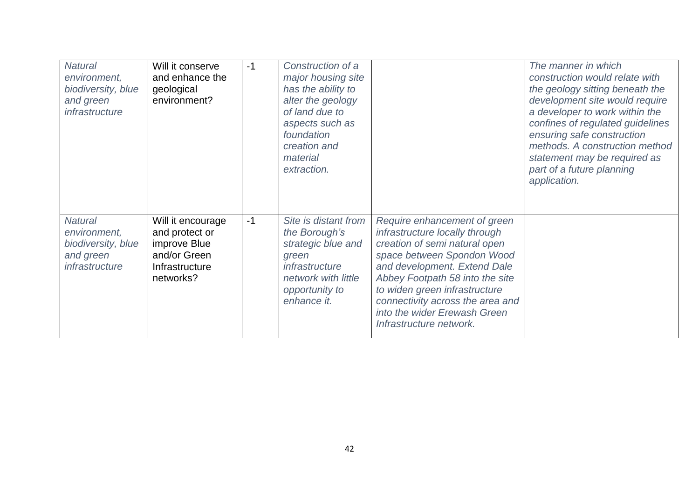| <b>Natural</b><br>environment,<br>biodiversity, blue<br>and green<br>infrastructure | Will it conserve<br>and enhance the<br>geological<br>environment?                                  | $-1$ | Construction of a<br>major housing site<br>has the ability to<br>alter the geology<br>of land due to<br>aspects such as<br>foundation<br>creation and<br>material<br>extraction. |                                                                                                                                                                                                                                                                                                                                  | The manner in which<br>construction would relate with<br>the geology sitting beneath the<br>development site would require<br>a developer to work within the<br>confines of regulated guidelines<br>ensuring safe construction<br>methods. A construction method<br>statement may be required as<br>part of a future planning<br>application. |
|-------------------------------------------------------------------------------------|----------------------------------------------------------------------------------------------------|------|----------------------------------------------------------------------------------------------------------------------------------------------------------------------------------|----------------------------------------------------------------------------------------------------------------------------------------------------------------------------------------------------------------------------------------------------------------------------------------------------------------------------------|-----------------------------------------------------------------------------------------------------------------------------------------------------------------------------------------------------------------------------------------------------------------------------------------------------------------------------------------------|
| <b>Natural</b><br>environment,<br>biodiversity, blue<br>and green<br>infrastructure | Will it encourage<br>and protect or<br>improve Blue<br>and/or Green<br>Infrastructure<br>networks? | $-1$ | Site is distant from<br>the Borough's<br>strategic blue and<br>green<br>infrastructure<br>network with little<br>opportunity to<br>enhance it.                                   | Require enhancement of green<br>infrastructure locally through<br>creation of semi natural open<br>space between Spondon Wood<br>and development. Extend Dale<br>Abbey Footpath 58 into the site<br>to widen green infrastructure<br>connectivity across the area and<br>into the wider Erewash Green<br>Infrastructure network. |                                                                                                                                                                                                                                                                                                                                               |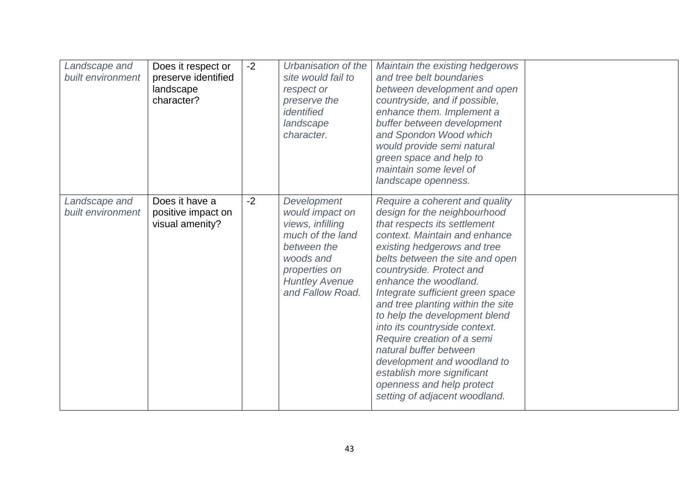| Landscape and<br>built environment | Does it respect or<br>preserve identified<br>landscape<br>character? | $-2$ | Urbanisation of the<br>site would fail to<br>respect or<br>preserve the<br>identified<br>landscape<br>character.                                                 | Maintain the existing hedgerows<br>and tree belt boundaries<br>between development and open<br>countryside, and if possible,<br>enhance them. Implement a<br>buffer between development<br>and Spondon Wood which<br>would provide semi natural<br>green space and help to<br>maintain some level of<br>landscape openness.                                                                                                                                                                                                                                                          |  |
|------------------------------------|----------------------------------------------------------------------|------|------------------------------------------------------------------------------------------------------------------------------------------------------------------|--------------------------------------------------------------------------------------------------------------------------------------------------------------------------------------------------------------------------------------------------------------------------------------------------------------------------------------------------------------------------------------------------------------------------------------------------------------------------------------------------------------------------------------------------------------------------------------|--|
| Landscape and<br>built environment | Does it have a<br>positive impact on<br>visual amenity?              | $-2$ | Development<br>would impact on<br>views, infilling<br>much of the land<br>between the<br>woods and<br>properties on<br><b>Huntley Avenue</b><br>and Fallow Road. | Require a coherent and quality<br>design for the neighbourhood<br>that respects its settlement<br>context. Maintain and enhance<br>existing hedgerows and tree<br>belts between the site and open<br>countryside. Protect and<br>enhance the woodland.<br>Integrate sufficient green space<br>and tree planting within the site<br>to help the development blend<br>into its countryside context.<br>Require creation of a semi<br>natural buffer between<br>development and woodland to<br>establish more significant<br>openness and help protect<br>setting of adjacent woodland. |  |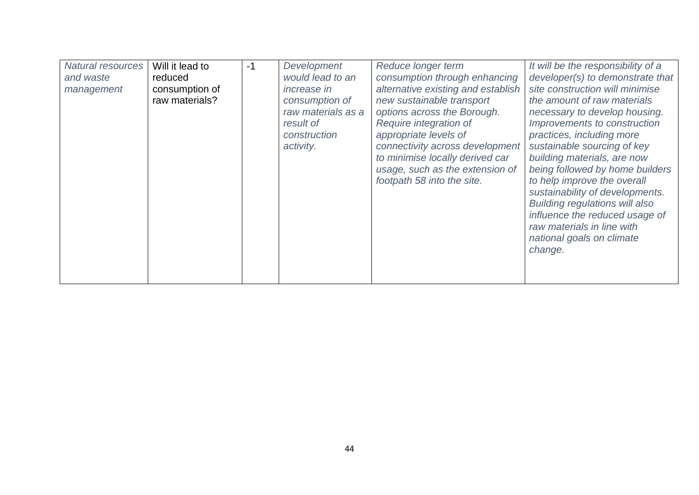| <b>Natural resources</b> | Will it lead to | $-1$ | Development        | Reduce longer term                 | It will be the responsibility of a    |
|--------------------------|-----------------|------|--------------------|------------------------------------|---------------------------------------|
| and waste                | reduced         |      | would lead to an   | consumption through enhancing      | developer(s) to demonstrate that      |
| management               | consumption of  |      | <i>increase in</i> | alternative existing and establish | site construction will minimise       |
|                          | raw materials?  |      | consumption of     | new sustainable transport          | the amount of raw materials           |
|                          |                 |      | raw materials as a | options across the Borough.        | necessary to develop housing.         |
|                          |                 |      | result of          | Require integration of             | Improvements to construction          |
|                          |                 |      | construction       | appropriate levels of              | practices, including more             |
|                          |                 |      | activity.          | connectivity across development    | sustainable sourcing of key           |
|                          |                 |      |                    | to minimise locally derived car    | building materials, are now           |
|                          |                 |      |                    | usage, such as the extension of    | being followed by home builders       |
|                          |                 |      |                    | footpath 58 into the site.         | to help improve the overall           |
|                          |                 |      |                    |                                    | sustainability of developments.       |
|                          |                 |      |                    |                                    | <b>Building regulations will also</b> |
|                          |                 |      |                    |                                    | influence the reduced usage of        |
|                          |                 |      |                    |                                    | raw materials in line with            |
|                          |                 |      |                    |                                    | national goals on climate             |
|                          |                 |      |                    |                                    | change.                               |
|                          |                 |      |                    |                                    |                                       |
|                          |                 |      |                    |                                    |                                       |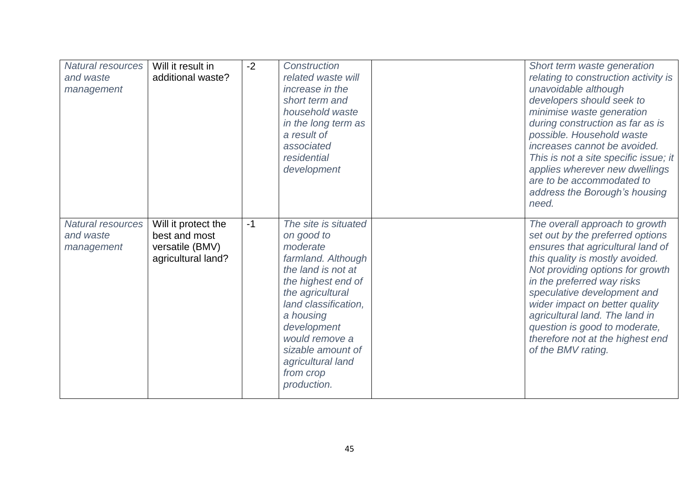| <b>Natural resources</b><br>and waste<br>management | Will it result in<br>additional waste?                                        | $-2$ | Construction<br>related waste will<br>increase in the<br>short term and<br>household waste<br>in the long term as<br>a result of<br>associated<br>residential<br>development                                                                                                     | Short term waste generation<br>relating to construction activity is<br>unavoidable although<br>developers should seek to<br>minimise waste generation<br>during construction as far as is<br>possible. Household waste<br>increases cannot be avoided.<br>This is not a site specific issue; it<br>applies wherever new dwellings<br>are to be accommodated to<br>address the Borough's housing<br>need.   |
|-----------------------------------------------------|-------------------------------------------------------------------------------|------|----------------------------------------------------------------------------------------------------------------------------------------------------------------------------------------------------------------------------------------------------------------------------------|------------------------------------------------------------------------------------------------------------------------------------------------------------------------------------------------------------------------------------------------------------------------------------------------------------------------------------------------------------------------------------------------------------|
| <b>Natural resources</b><br>and waste<br>management | Will it protect the<br>best and most<br>versatile (BMV)<br>agricultural land? | $-1$ | The site is situated<br>on good to<br>moderate<br>farmland. Although<br>the land is not at<br>the highest end of<br>the agricultural<br>land classification,<br>a housing<br>development<br>would remove a<br>sizable amount of<br>agricultural land<br>from crop<br>production. | The overall approach to growth<br>set out by the preferred options<br>ensures that agricultural land of<br>this quality is mostly avoided.<br>Not providing options for growth<br>in the preferred way risks<br>speculative development and<br>wider impact on better quality<br>agricultural land. The land in<br>question is good to moderate,<br>therefore not at the highest end<br>of the BMV rating. |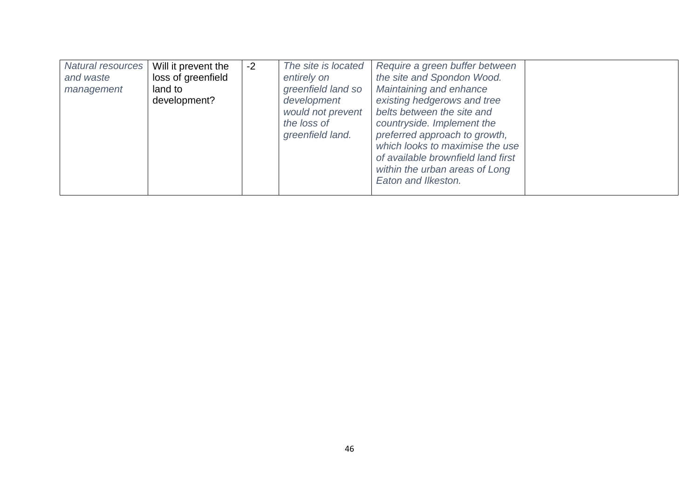| Natural resources<br>and waste<br>management | Will it prevent the<br>loss of greenfield<br>land to<br>development? | $-2$ | The site is located<br>entirely on<br>greenfield land so<br>development<br>would not prevent<br>the loss of<br>greenfield land. | Require a green buffer between<br>the site and Spondon Wood.<br>Maintaining and enhance<br>existing hedgerows and tree<br>belts between the site and<br>countryside. Implement the<br>preferred approach to growth,<br>which looks to maximise the use<br>of available brownfield land first<br>within the urban areas of Long<br>Eaton and Ilkeston. |  |
|----------------------------------------------|----------------------------------------------------------------------|------|---------------------------------------------------------------------------------------------------------------------------------|-------------------------------------------------------------------------------------------------------------------------------------------------------------------------------------------------------------------------------------------------------------------------------------------------------------------------------------------------------|--|
|----------------------------------------------|----------------------------------------------------------------------|------|---------------------------------------------------------------------------------------------------------------------------------|-------------------------------------------------------------------------------------------------------------------------------------------------------------------------------------------------------------------------------------------------------------------------------------------------------------------------------------------------------|--|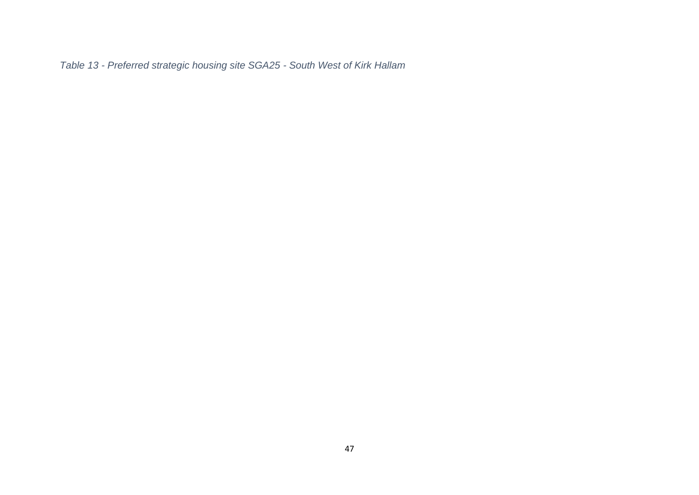<span id="page-46-0"></span>*Table 13 - Preferred strategic housing site SGA25 - South West of Kirk Hallam*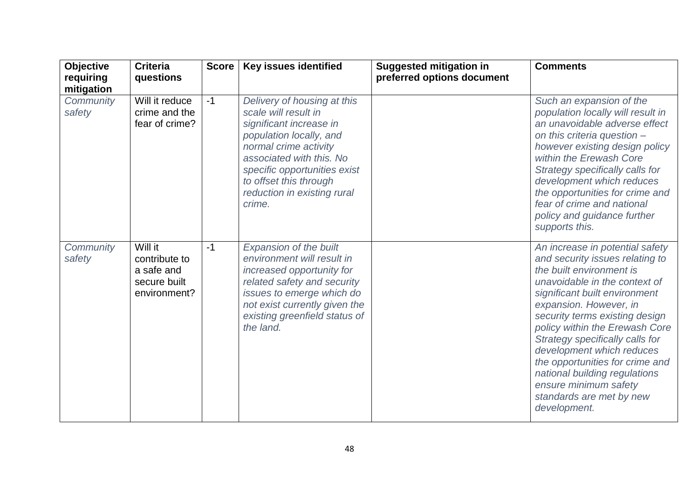| <b>Objective</b><br>requiring | <b>Criteria</b><br>questions                                           | <b>Score</b> | <b>Key issues identified</b>                                                                                                                                                                                                                                      | <b>Suggested mitigation in</b><br>preferred options document | <b>Comments</b>                                                                                                                                                                                                                                                                                                                                                                                                                                                         |
|-------------------------------|------------------------------------------------------------------------|--------------|-------------------------------------------------------------------------------------------------------------------------------------------------------------------------------------------------------------------------------------------------------------------|--------------------------------------------------------------|-------------------------------------------------------------------------------------------------------------------------------------------------------------------------------------------------------------------------------------------------------------------------------------------------------------------------------------------------------------------------------------------------------------------------------------------------------------------------|
| mitigation                    |                                                                        |              |                                                                                                                                                                                                                                                                   |                                                              |                                                                                                                                                                                                                                                                                                                                                                                                                                                                         |
| Community<br>safety           | Will it reduce<br>crime and the<br>fear of crime?                      | $-1$         | Delivery of housing at this<br>scale will result in<br>significant increase in<br>population locally, and<br>normal crime activity<br>associated with this. No<br>specific opportunities exist<br>to offset this through<br>reduction in existing rural<br>crime. |                                                              | Such an expansion of the<br>population locally will result in<br>an unavoidable adverse effect<br>on this criteria question -<br>however existing design policy<br>within the Erewash Core<br>Strategy specifically calls for<br>development which reduces<br>the opportunities for crime and<br>fear of crime and national<br>policy and guidance further<br>supports this.                                                                                            |
| Community<br>safety           | Will it<br>contribute to<br>a safe and<br>secure built<br>environment? | $-1$         | Expansion of the built<br>environment will result in<br>increased opportunity for<br>related safety and security<br>issues to emerge which do<br>not exist currently given the<br>existing greenfield status of<br>the land.                                      |                                                              | An increase in potential safety<br>and security issues relating to<br>the built environment is<br>unavoidable in the context of<br>significant built environment<br>expansion. However, in<br>security terms existing design<br>policy within the Erewash Core<br>Strategy specifically calls for<br>development which reduces<br>the opportunities for crime and<br>national building regulations<br>ensure minimum safety<br>standards are met by new<br>development. |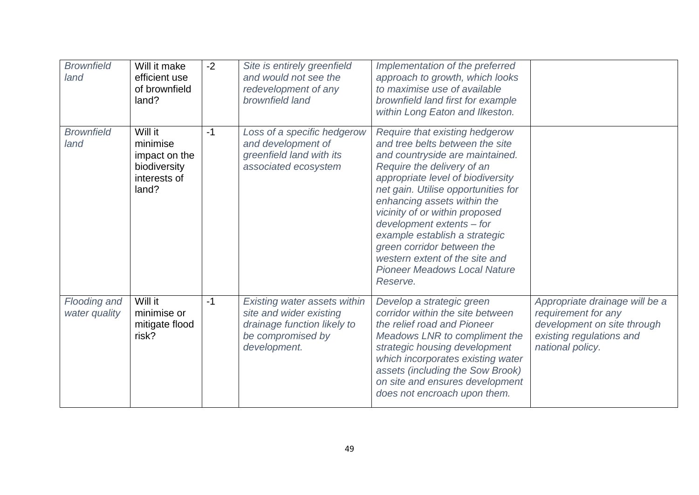| <b>Brownfield</b><br>land     | Will it make<br>efficient use<br>of brownfield<br>land?                       | $-2$ | Site is entirely greenfield<br>and would not see the<br>redevelopment of any<br>brownfield land                             | Implementation of the preferred<br>approach to growth, which looks<br>to maximise use of available<br>brownfield land first for example<br>within Long Eaton and Ilkeston.                                                                                                                                                                                                                                                                                       |                                                                                                                                      |
|-------------------------------|-------------------------------------------------------------------------------|------|-----------------------------------------------------------------------------------------------------------------------------|------------------------------------------------------------------------------------------------------------------------------------------------------------------------------------------------------------------------------------------------------------------------------------------------------------------------------------------------------------------------------------------------------------------------------------------------------------------|--------------------------------------------------------------------------------------------------------------------------------------|
| <b>Brownfield</b><br>land     | Will it<br>minimise<br>impact on the<br>biodiversity<br>interests of<br>land? | $-1$ | Loss of a specific hedgerow<br>and development of<br>greenfield land with its<br>associated ecosystem                       | Require that existing hedgerow<br>and tree belts between the site<br>and countryside are maintained.<br>Require the delivery of an<br>appropriate level of biodiversity<br>net gain. Utilise opportunities for<br>enhancing assets within the<br>vicinity of or within proposed<br>development extents - for<br>example establish a strategic<br>green corridor between the<br>western extent of the site and<br><b>Pioneer Meadows Local Nature</b><br>Reserve. |                                                                                                                                      |
| Flooding and<br>water quality | Will it<br>minimise or<br>mitigate flood<br>risk?                             | $-1$ | Existing water assets within<br>site and wider existing<br>drainage function likely to<br>be compromised by<br>development. | Develop a strategic green<br>corridor within the site between<br>the relief road and Pioneer<br>Meadows LNR to compliment the<br>strategic housing development<br>which incorporates existing water<br>assets (including the Sow Brook)<br>on site and ensures development<br>does not encroach upon them.                                                                                                                                                       | Appropriate drainage will be a<br>requirement for any<br>development on site through<br>existing regulations and<br>national policy. |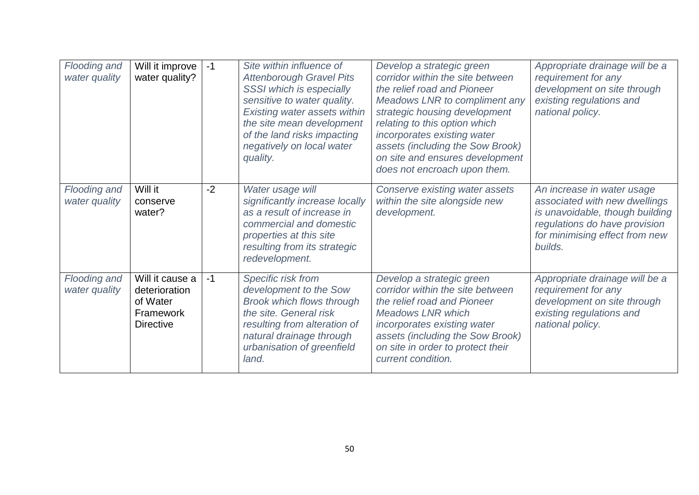| Flooding and<br>water quality | Will it improve<br>water quality?                                             | $-1$ | Site within influence of<br><b>Attenborough Gravel Pits</b><br>SSSI which is especially<br>sensitive to water quality.<br><b>Existing water assets within</b><br>the site mean development<br>of the land risks impacting<br>negatively on local water<br>quality. | Develop a strategic green<br>corridor within the site between<br>the relief road and Pioneer<br>Meadows LNR to compliment any<br>strategic housing development<br>relating to this option which<br>incorporates existing water<br>assets (including the Sow Brook)<br>on site and ensures development<br>does not encroach upon them. | Appropriate drainage will be a<br>requirement for any<br>development on site through<br>existing regulations and<br>national policy.                                         |
|-------------------------------|-------------------------------------------------------------------------------|------|--------------------------------------------------------------------------------------------------------------------------------------------------------------------------------------------------------------------------------------------------------------------|---------------------------------------------------------------------------------------------------------------------------------------------------------------------------------------------------------------------------------------------------------------------------------------------------------------------------------------|------------------------------------------------------------------------------------------------------------------------------------------------------------------------------|
| Flooding and<br>water quality | Will it<br>conserve<br>water?                                                 | $-2$ | Water usage will<br>significantly increase locally<br>as a result of increase in<br>commercial and domestic<br>properties at this site<br>resulting from its strategic<br>redevelopment.                                                                           | Conserve existing water assets<br>within the site alongside new<br>development.                                                                                                                                                                                                                                                       | An increase in water usage<br>associated with new dwellings<br>is unavoidable, though building<br>regulations do have provision<br>for minimising effect from new<br>builds. |
| Flooding and<br>water quality | Will it cause a<br>deterioration<br>of Water<br>Framework<br><b>Directive</b> | $-1$ | Specific risk from<br>development to the Sow<br><b>Brook which flows through</b><br>the site. General risk<br>resulting from alteration of<br>natural drainage through<br>urbanisation of greenfield<br>land.                                                      | Develop a strategic green<br>corridor within the site between<br>the relief road and Pioneer<br><b>Meadows LNR which</b><br>incorporates existing water<br>assets (including the Sow Brook)<br>on site in order to protect their<br>current condition.                                                                                | Appropriate drainage will be a<br>requirement for any<br>development on site through<br>existing regulations and<br>national policy.                                         |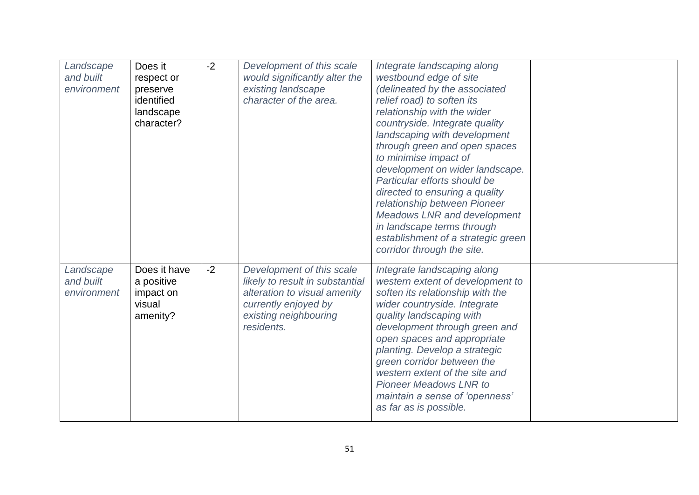| Landscape<br>and built<br>environment | Does it<br>respect or<br>preserve<br>identified<br>landscape<br>character? | $-2$ | Development of this scale<br>would significantly alter the<br>existing landscape<br>character of the area.                                                  | Integrate landscaping along<br>westbound edge of site<br>(delineated by the associated<br>relief road) to soften its<br>relationship with the wider<br>countryside. Integrate quality<br>landscaping with development<br>through green and open spaces<br>to minimise impact of<br>development on wider landscape.<br>Particular efforts should be<br>directed to ensuring a quality<br>relationship between Pioneer<br>Meadows LNR and development<br>in landscape terms through<br>establishment of a strategic green<br>corridor through the site. |  |
|---------------------------------------|----------------------------------------------------------------------------|------|-------------------------------------------------------------------------------------------------------------------------------------------------------------|-------------------------------------------------------------------------------------------------------------------------------------------------------------------------------------------------------------------------------------------------------------------------------------------------------------------------------------------------------------------------------------------------------------------------------------------------------------------------------------------------------------------------------------------------------|--|
| Landscape<br>and built<br>environment | Does it have<br>a positive<br>impact on<br>visual<br>amenity?              | $-2$ | Development of this scale<br>likely to result in substantial<br>alteration to visual amenity<br>currently enjoyed by<br>existing neighbouring<br>residents. | Integrate landscaping along<br>western extent of development to<br>soften its relationship with the<br>wider countryside. Integrate<br>quality landscaping with<br>development through green and<br>open spaces and appropriate<br>planting. Develop a strategic<br>green corridor between the<br>western extent of the site and<br><b>Pioneer Meadows LNR to</b><br>maintain a sense of 'openness'<br>as far as is possible.                                                                                                                         |  |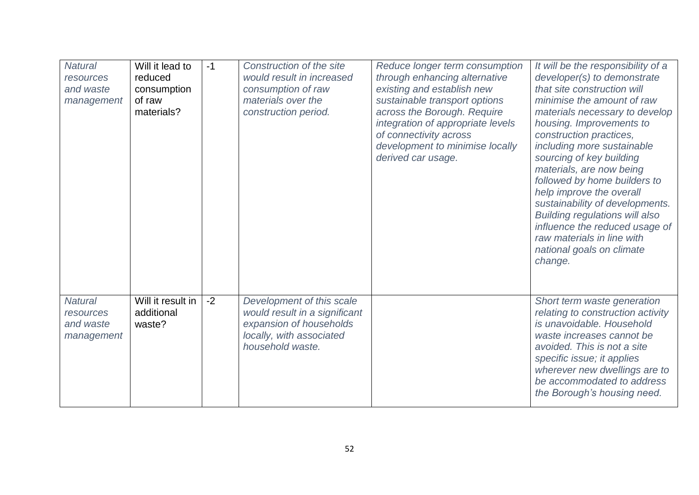| <b>Natural</b><br>resources<br>and waste<br>management | Will it lead to<br>reduced<br>consumption<br>of raw<br>materials? | $-1$ | Construction of the site<br>would result in increased<br>consumption of raw<br>materials over the<br>construction period.             | Reduce longer term consumption<br>through enhancing alternative<br>existing and establish new<br>sustainable transport options<br>across the Borough. Require<br>integration of appropriate levels<br>of connectivity across<br>development to minimise locally<br>derived car usage. | It will be the responsibility of a<br>developer(s) to demonstrate<br>that site construction will<br>minimise the amount of raw<br>materials necessary to develop<br>housing. Improvements to<br>construction practices,<br>including more sustainable<br>sourcing of key building<br>materials, are now being<br>followed by home builders to<br>help improve the overall<br>sustainability of developments.<br><b>Building regulations will also</b><br>influence the reduced usage of<br>raw materials in line with<br>national goals on climate<br>change. |
|--------------------------------------------------------|-------------------------------------------------------------------|------|---------------------------------------------------------------------------------------------------------------------------------------|---------------------------------------------------------------------------------------------------------------------------------------------------------------------------------------------------------------------------------------------------------------------------------------|---------------------------------------------------------------------------------------------------------------------------------------------------------------------------------------------------------------------------------------------------------------------------------------------------------------------------------------------------------------------------------------------------------------------------------------------------------------------------------------------------------------------------------------------------------------|
| <b>Natural</b><br>resources<br>and waste<br>management | Will it result in<br>additional<br>waste?                         | $-2$ | Development of this scale<br>would result in a significant<br>expansion of households<br>locally, with associated<br>household waste. |                                                                                                                                                                                                                                                                                       | Short term waste generation<br>relating to construction activity<br>is unavoidable. Household<br>waste increases cannot be<br>avoided. This is not a site<br>specific issue; it applies<br>wherever new dwellings are to<br>be accommodated to address<br>the Borough's housing need.                                                                                                                                                                                                                                                                         |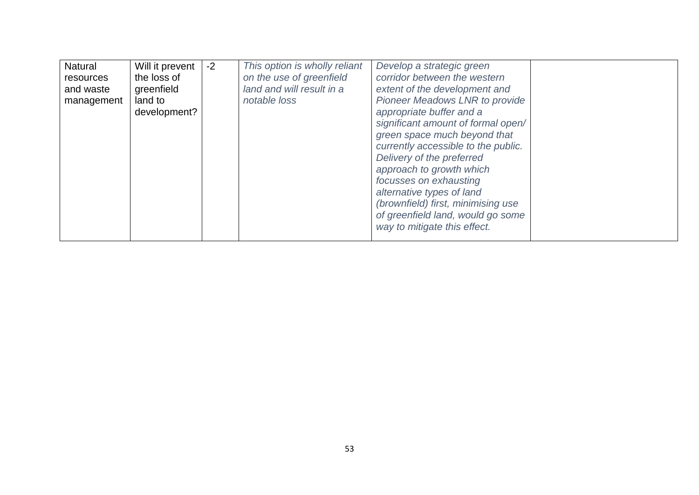| Natural    | Will it prevent | $-2$ | This option is wholly reliant | Develop a strategic green           |  |
|------------|-----------------|------|-------------------------------|-------------------------------------|--|
| resources  | the loss of     |      | on the use of greenfield      | corridor between the western        |  |
| and waste  | greenfield      |      | land and will result in a     | extent of the development and       |  |
| management | land to         |      | notable loss                  | Pioneer Meadows LNR to provide      |  |
|            | development?    |      |                               | appropriate buffer and a            |  |
|            |                 |      |                               | significant amount of formal open/  |  |
|            |                 |      |                               | green space much beyond that        |  |
|            |                 |      |                               | currently accessible to the public. |  |
|            |                 |      |                               | Delivery of the preferred           |  |
|            |                 |      |                               | approach to growth which            |  |
|            |                 |      |                               | focusses on exhausting              |  |
|            |                 |      |                               | alternative types of land           |  |
|            |                 |      |                               | (brownfield) first, minimising use  |  |
|            |                 |      |                               | of greenfield land, would go some   |  |
|            |                 |      |                               | way to mitigate this effect.        |  |
|            |                 |      |                               |                                     |  |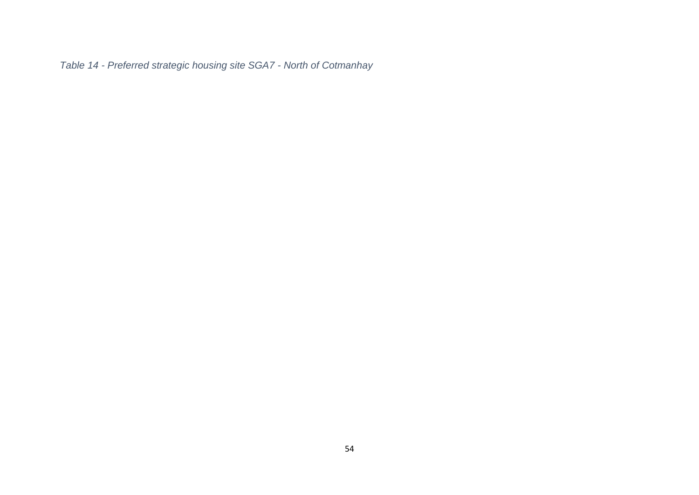<span id="page-53-0"></span>*Table 14 - Preferred strategic housing site SGA7 - North of Cotmanhay*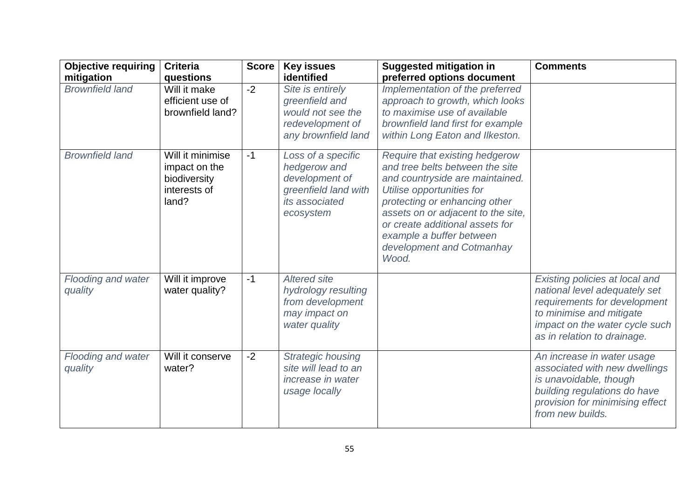| <b>Objective requiring</b><br>mitigation | <b>Criteria</b><br>questions                                               | <b>Score</b> | <b>Key issues</b><br>identified                                                                             | <b>Suggested mitigation in</b><br>preferred options document                                                                                                                                                                                                                                                  | <b>Comments</b>                                                                                                                                                                              |
|------------------------------------------|----------------------------------------------------------------------------|--------------|-------------------------------------------------------------------------------------------------------------|---------------------------------------------------------------------------------------------------------------------------------------------------------------------------------------------------------------------------------------------------------------------------------------------------------------|----------------------------------------------------------------------------------------------------------------------------------------------------------------------------------------------|
| <b>Brownfield land</b>                   | Will it make<br>efficient use of<br>brownfield land?                       | $-2$         | Site is entirely<br>greenfield and<br>would not see the<br>redevelopment of<br>any brownfield land          | Implementation of the preferred<br>approach to growth, which looks<br>to maximise use of available<br>brownfield land first for example<br>within Long Eaton and Ilkeston.                                                                                                                                    |                                                                                                                                                                                              |
| <b>Brownfield land</b>                   | Will it minimise<br>impact on the<br>biodiversity<br>interests of<br>land? | $-1$         | Loss of a specific<br>hedgerow and<br>development of<br>greenfield land with<br>its associated<br>ecosystem | Require that existing hedgerow<br>and tree belts between the site<br>and countryside are maintained.<br>Utilise opportunities for<br>protecting or enhancing other<br>assets on or adjacent to the site,<br>or create additional assets for<br>example a buffer between<br>development and Cotmanhay<br>Wood. |                                                                                                                                                                                              |
| Flooding and water<br>quality            | Will it improve<br>water quality?                                          | $-1$         | <b>Altered site</b><br>hydrology resulting<br>from development<br>may impact on<br>water quality            |                                                                                                                                                                                                                                                                                                               | Existing policies at local and<br>national level adequately set<br>requirements for development<br>to minimise and mitigate<br>impact on the water cycle such<br>as in relation to drainage. |
| Flooding and water<br>quality            | Will it conserve<br>water?                                                 | $-2$         | <b>Strategic housing</b><br>site will lead to an<br>increase in water<br>usage locally                      |                                                                                                                                                                                                                                                                                                               | An increase in water usage<br>associated with new dwellings<br>is unavoidable, though<br>building regulations do have<br>provision for minimising effect<br>from new builds.                 |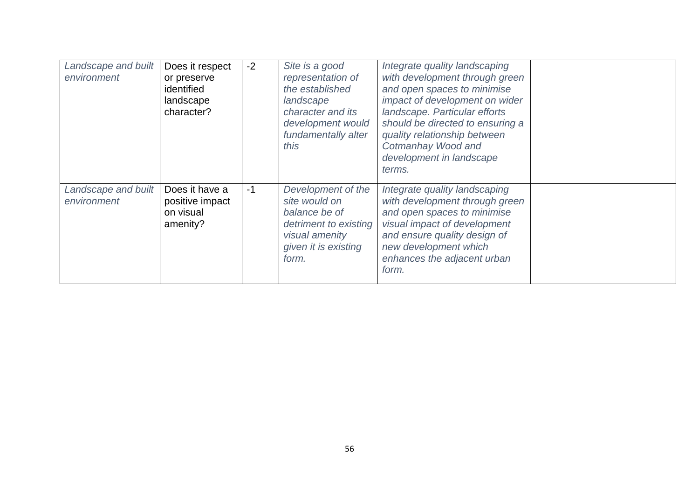| Landscape and built<br>environment | Does it respect<br>or preserve<br>identified<br>landscape<br>character? | $-2$ | Site is a good<br>representation of<br>the established<br>landscape<br>character and its<br>development would<br>fundamentally alter<br>this | Integrate quality landscaping<br>with development through green<br>and open spaces to minimise<br>impact of development on wider<br>landscape. Particular efforts<br>should be directed to ensuring a<br>quality relationship between<br>Cotmanhay Wood and<br>development in landscape<br>terms. |  |
|------------------------------------|-------------------------------------------------------------------------|------|----------------------------------------------------------------------------------------------------------------------------------------------|---------------------------------------------------------------------------------------------------------------------------------------------------------------------------------------------------------------------------------------------------------------------------------------------------|--|
| Landscape and built<br>environment | Does it have a<br>positive impact<br>on visual<br>amenity?              | $-1$ | Development of the<br>site would on<br>balance be of<br>detriment to existing<br>visual amenity<br>given it is existing<br>form.             | Integrate quality landscaping<br>with development through green<br>and open spaces to minimise<br>visual impact of development<br>and ensure quality design of<br>new development which<br>enhances the adjacent urban<br>form.                                                                   |  |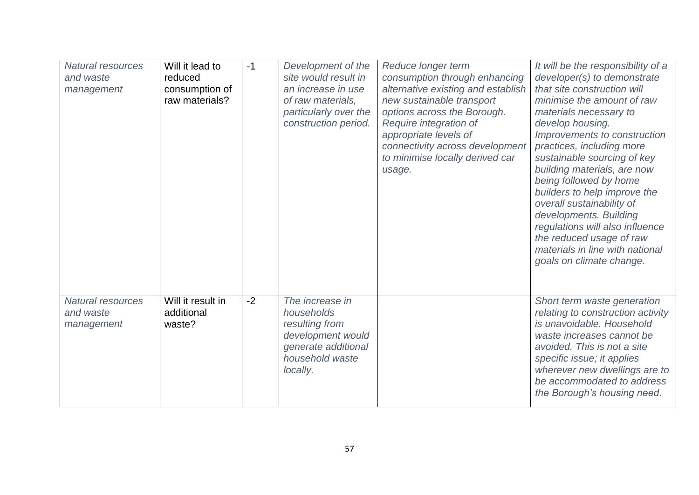| <b>Natural resources</b><br>and waste<br>management | Will it lead to<br>reduced<br>consumption of<br>raw materials? | $-1$ | Development of the<br>site would result in<br>an increase in use<br>of raw materials,<br>particularly over the<br>construction period. | Reduce longer term<br>consumption through enhancing<br>alternative existing and establish<br>new sustainable transport<br>options across the Borough.<br>Require integration of<br>appropriate levels of<br>connectivity across development<br>to minimise locally derived car<br>usage. | It will be the responsibility of a<br>developer(s) to demonstrate<br>that site construction will<br>minimise the amount of raw<br>materials necessary to<br>develop housing.<br>Improvements to construction<br>practices, including more<br>sustainable sourcing of key<br>building materials, are now<br>being followed by home<br>builders to help improve the<br>overall sustainability of<br>developments. Building<br>regulations will also influence<br>the reduced usage of raw<br>materials in line with national<br>goals on climate change. |
|-----------------------------------------------------|----------------------------------------------------------------|------|----------------------------------------------------------------------------------------------------------------------------------------|------------------------------------------------------------------------------------------------------------------------------------------------------------------------------------------------------------------------------------------------------------------------------------------|--------------------------------------------------------------------------------------------------------------------------------------------------------------------------------------------------------------------------------------------------------------------------------------------------------------------------------------------------------------------------------------------------------------------------------------------------------------------------------------------------------------------------------------------------------|
| Natural resources<br>and waste<br>management        | Will it result in<br>additional<br>waste?                      | $-2$ | The increase in<br>households<br>resulting from<br>development would<br>generate additional<br>household waste<br>locally.             |                                                                                                                                                                                                                                                                                          | Short term waste generation<br>relating to construction activity<br>is unavoidable. Household<br>waste increases cannot be<br>avoided. This is not a site<br>specific issue; it applies<br>wherever new dwellings are to<br>be accommodated to address<br>the Borough's housing need.                                                                                                                                                                                                                                                                  |